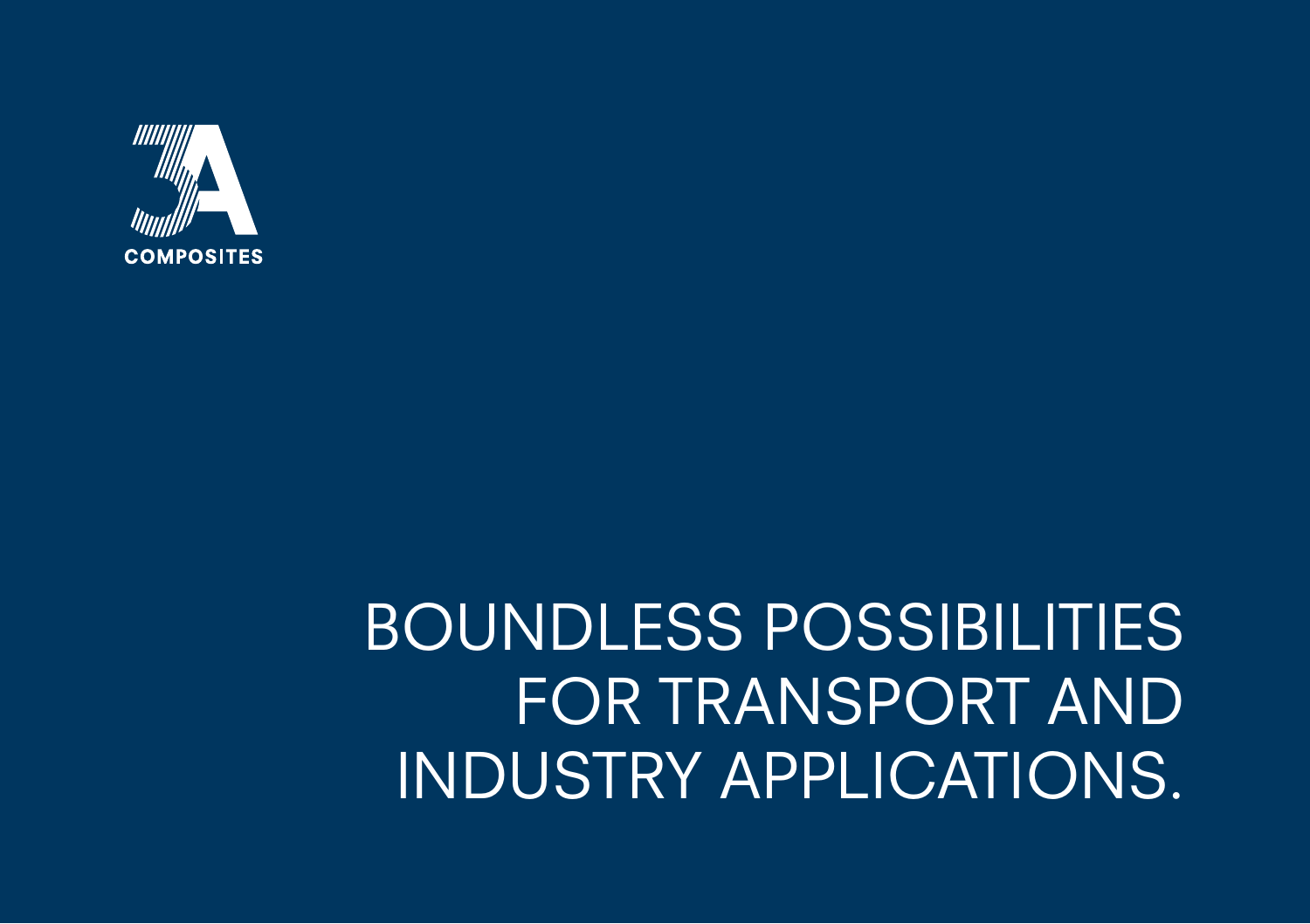

BOUNDLESS POSSIBILITIES FOR TRANSPORT AND INDUSTRY APPLICATIONS.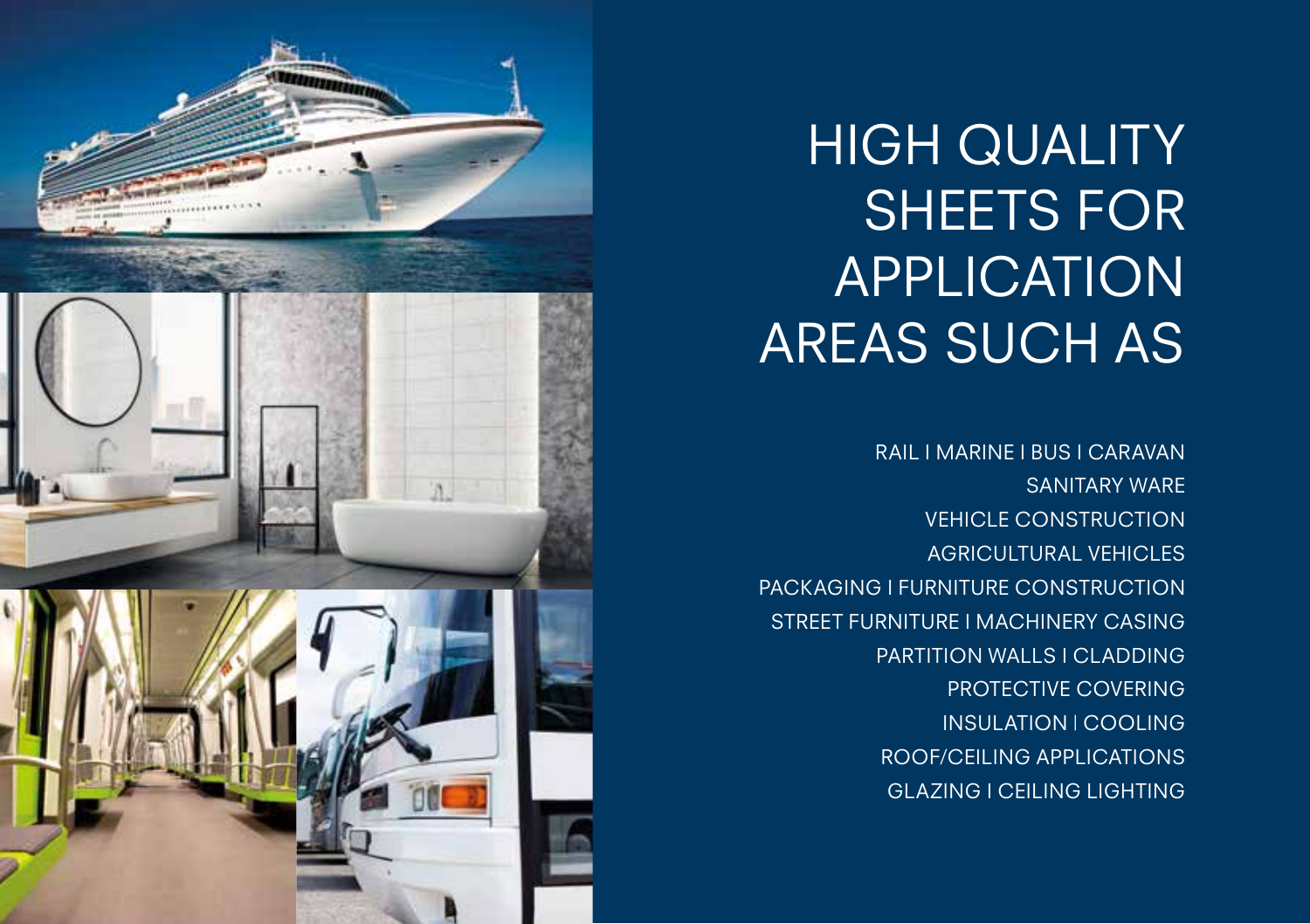### HIGH QUALITY SHEETS FOR APPLICATION AREAS SUCH AS

RAIL I MARINE I BUS I CARAVAN SANITARY WARE VEHICLE CONSTRUCTION AGRICULTURAL VEHICLES PACKAGING I FURNITURE CONSTRUCTION STREET FURNITURE I MACHINERY CASING PARTITION WALLS I CLADDING PROTECTIVE COVERING INSULATION | COOLING ROOF/CEILING APPLICATIONS GLAZING I CEILING LIGHTING

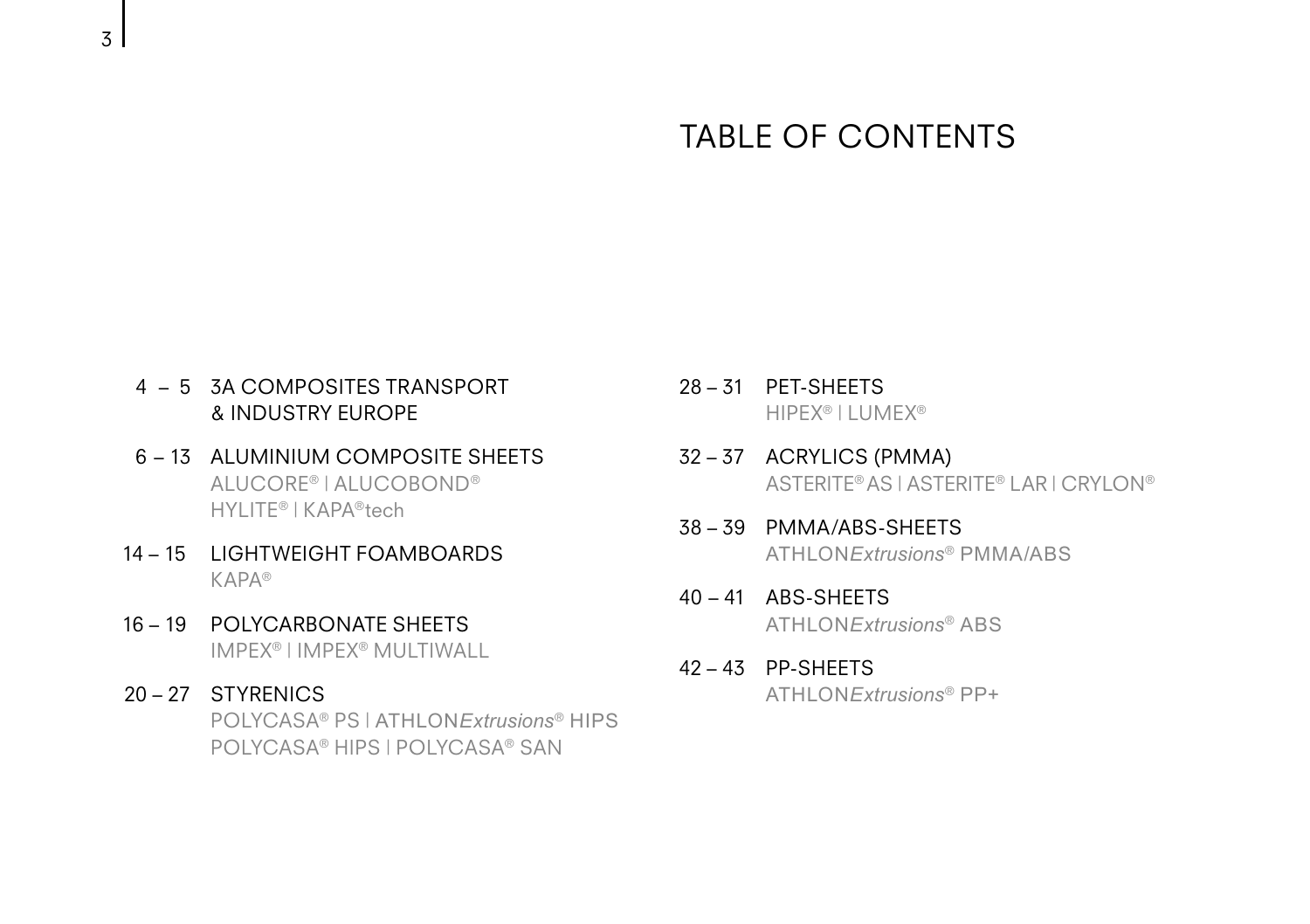#### TABLE OF CONTENTS

- 4 5 3A COMPOSITES TRANSPORT & INDUSTRY EUROPE
- 6 13 ALUMINIUM COMPOSITE SHEETS ALUCORE® | ALUCOBOND® HYLITE® | KAPA®tech
- 14 15 LIGHTWEIGHT FOAMBOARDS KAPA®
- 16 19 POLYCARBONATE SHEETS IMPEX® | IMPEX® MULTIWALL
- 20 27 STYRENICS POLYCASA® PS | ATHLON*Extrusions*® HIPS POLYCASA® HIPS | POLYCASA® SAN
- 28 31 PET-SHEETS HIPEX® | LUMEX®
- 32 37 ACRYLICS (PMMA) ASTERITE® AS | ASTERITE® LAR | CRYLON®
- 38 39 PMMA/ABS-SHEETS ATHLON*Extrusions*® PMMA/ABS
- $40 41$  ABS-SHEFTS ATHLON*Extrusions*® ABS
- 42 43 PP-SHEETS ATHLON*Extrusions*® PP+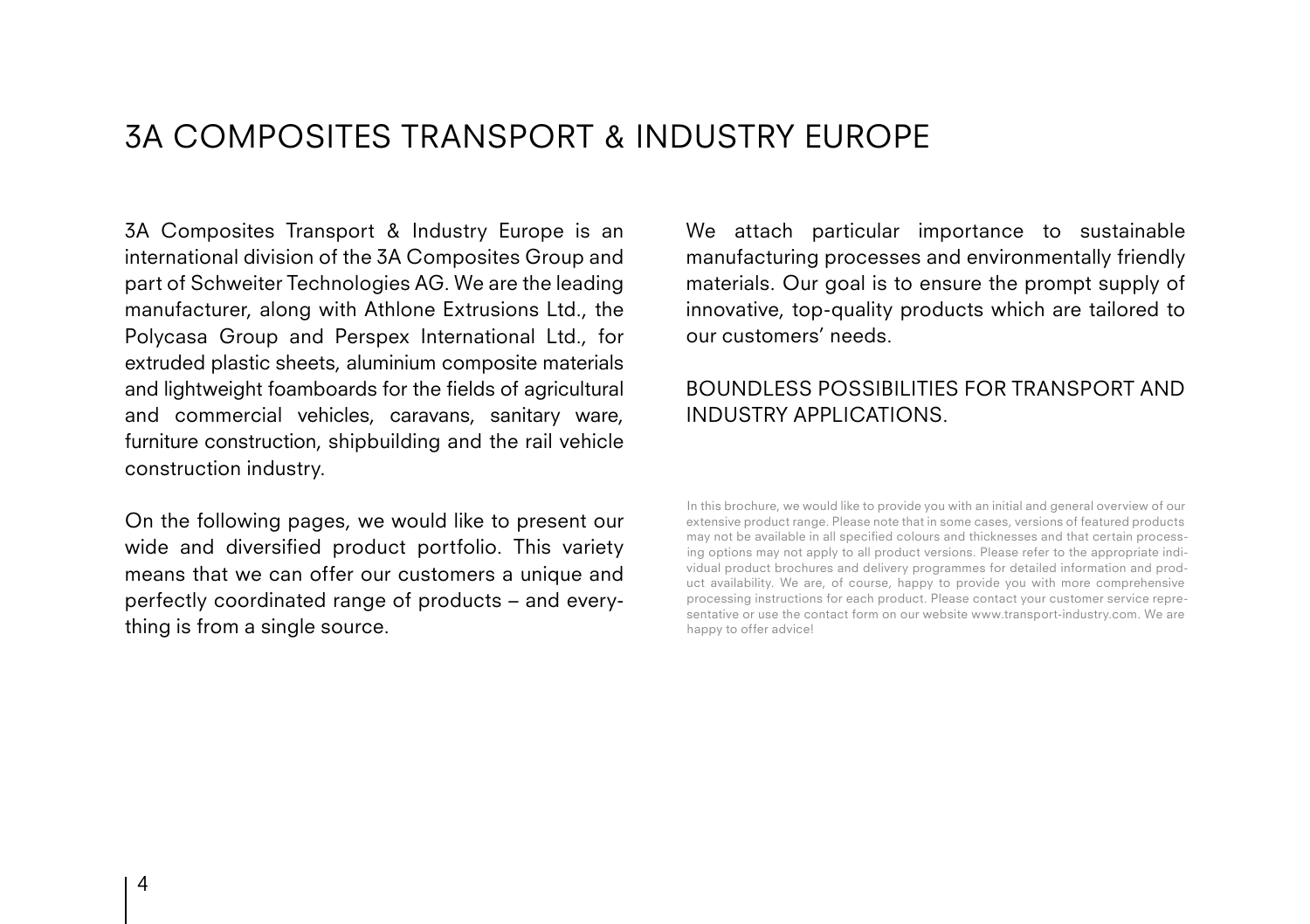#### 3A COMPOSITES TRANSPORT & INDUSTRY EUROPE

3A Composites Transport & Industry Europe is an international division of the 3A Composites Group and part of Schweiter Technologies AG. We are the leading manufacturer, along with Athlone Extrusions Ltd., the Polycasa Group and Perspex International Ltd., for extruded plastic sheets, aluminium composite materials and lightweight foamboards for the fields of agricultural and commercial vehicles, caravans, sanitary ware, furniture construction, shipbuilding and the rail vehicle construction industry.

On the following pages, we would like to present our wide and diversified product portfolio. This variety means that we can offer our customers a unique and perfectly coordinated range of products – and everything is from a single source.

We attach particular importance to sustainable manufacturing processes and environmentally friendly materials. Our goal is to ensure the prompt supply of innovative, top-quality products which are tailored to our customers' needs.

#### BOUNDLESS POSSIBILITIES FOR TRANSPORT AND INDUSTRY APPLICATIONS.

In this brochure, we would like to provide you with an initial and general overview of our extensive product range. Please note that in some cases, versions of featured products may not be available in all specified colours and thicknesses and that certain processing options may not apply to all product versions. Please refer to the appropriate individual product brochures and delivery programmes for detailed information and product availability. We are, of course, happy to provide you with more comprehensive processing instructions for each product. Please contact your customer service representative or use the contact form on our website www.transport-industry.com. We are happy to offer advice!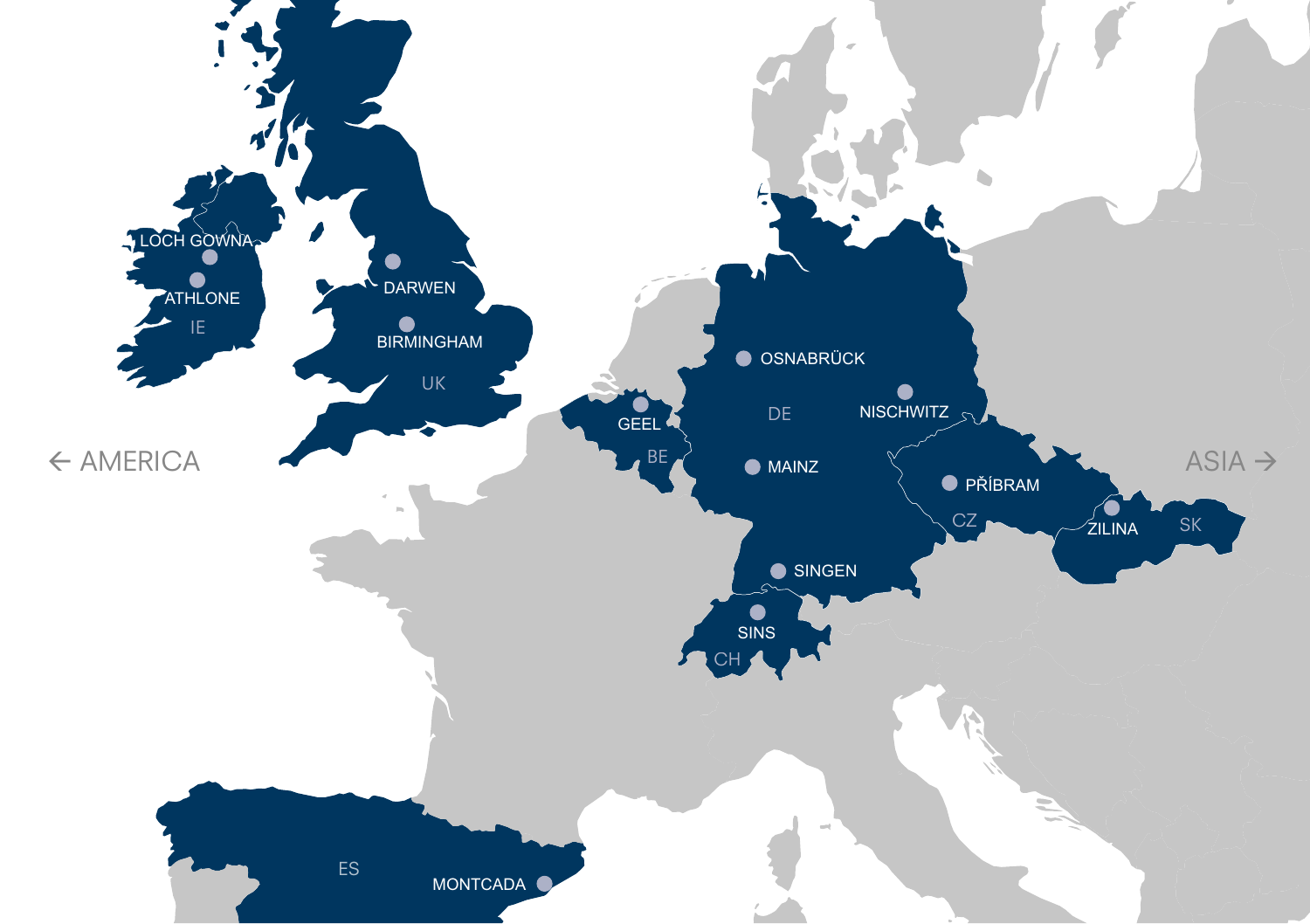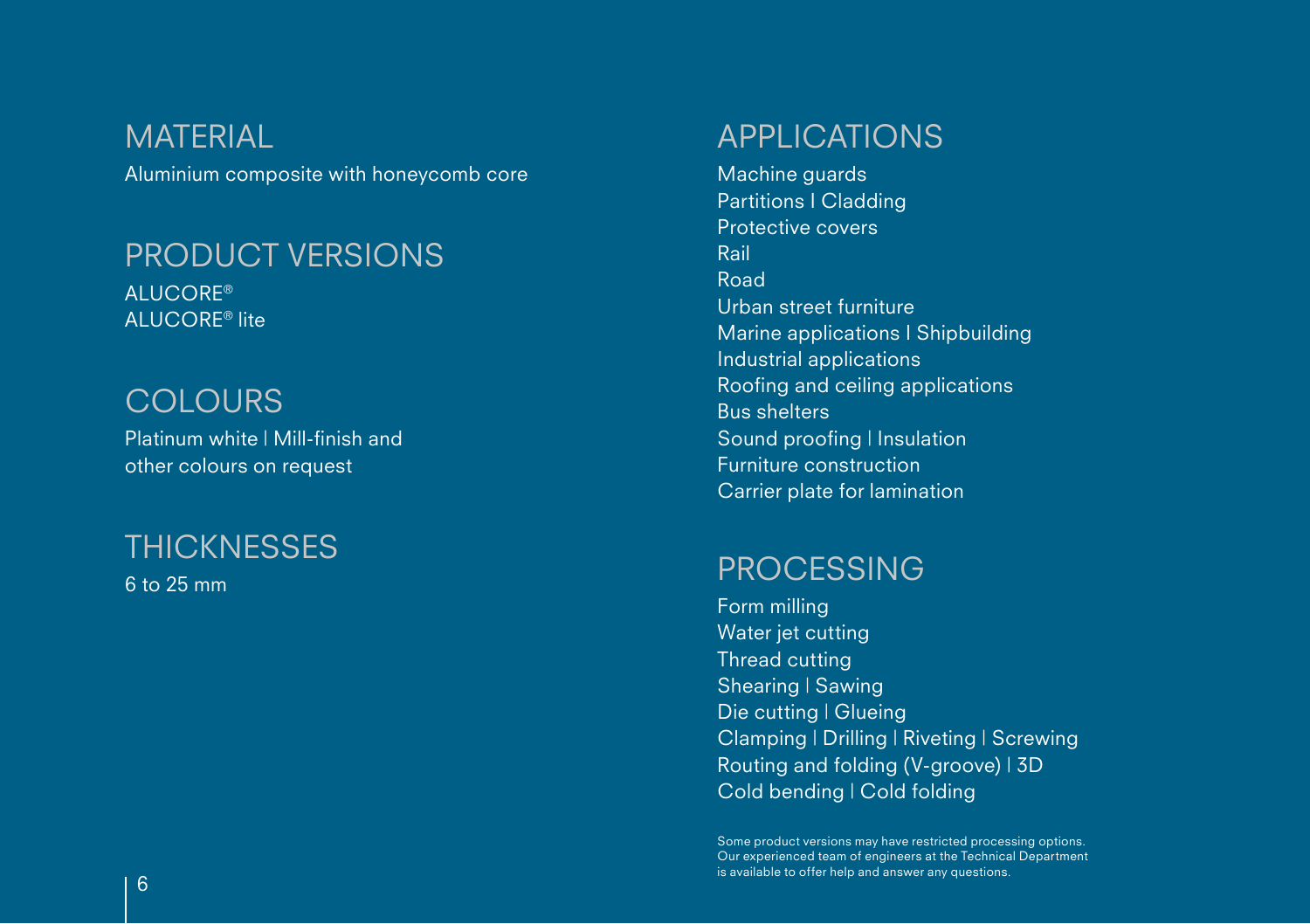Aluminium composite with honeycomb core **MATERIAL** 

#### PRODUCT VERSIONS

ALUCORE® ALUCORE® lite

#### **COLOURS**

Platinum white | Mill-finish and other colours on request

### **THICKNESSES**

6 to 25 mm

#### APPLICATIONS

Machine guards Partitions I Cladding Protective covers Rail Road Urban street furniture Marine applications I Shipbuilding Industrial applications Roofing and ceiling applications Bus shelters Sound proofing | Insulation Furniture construction Carrier plate for lamination

#### PROCESSING

Form milling Water jet cutting Thread cutting Shearing | Sawing Die cutting | Glueing Clamping | Drilling | Riveting | Screwing Routing and folding (V-groove) | 3D Cold bending | Cold folding

Some product versions may have restricted processing options. Our experienced team of engineers at the Technical Department is available to offer help and answer any questions.  $\overline{6}$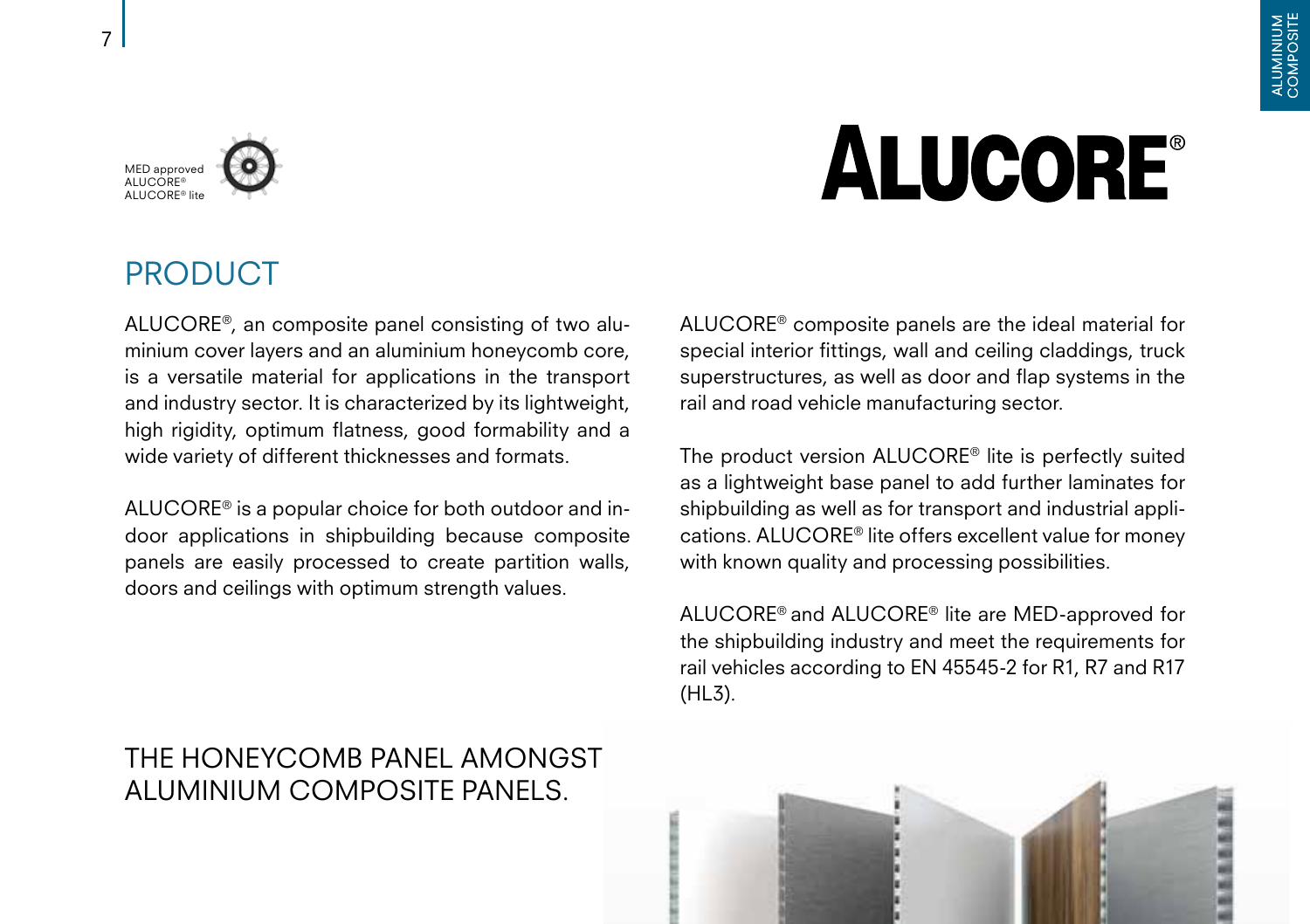#### MED approved ALUCORE® ALUCORE® lite

# **ALUCORE®**

#### PRODUCT

ALUCORE®, an composite panel consisting of two aluminium cover layers and an aluminium honeycomb core, is a versatile material for applications in the transport and industry sector. It is characterized by its lightweight, high rigidity, optimum flatness, good formability and a wide variety of different thicknesses and formats.

ALUCORE® is a popular choice for both outdoor and indoor applications in shipbuilding because composite panels are easily processed to create partition walls, doors and ceilings with optimum strength values.

#### THE HONEYCOMB PANEL AMONGST ALUMINIUM COMPOSITE PANELS.

ALUCORE® composite panels are the ideal material for special interior fittings, wall and ceiling claddings, truck superstructures, as well as door and flap systems in the rail and road vehicle manufacturing sector.

The product version ALUCORE® lite is perfectly suited as a lightweight base panel to add further laminates for shipbuilding as well as for transport and industrial applications. ALUCORE® lite offers excellent value for money with known quality and processing possibilities.

ALUCORE® and ALUCORE® lite are MED-approved for the shipbuilding industry and meet the requirements for rail vehicles according to EN 45545-2 for R1, R7 and R17 (HL3).

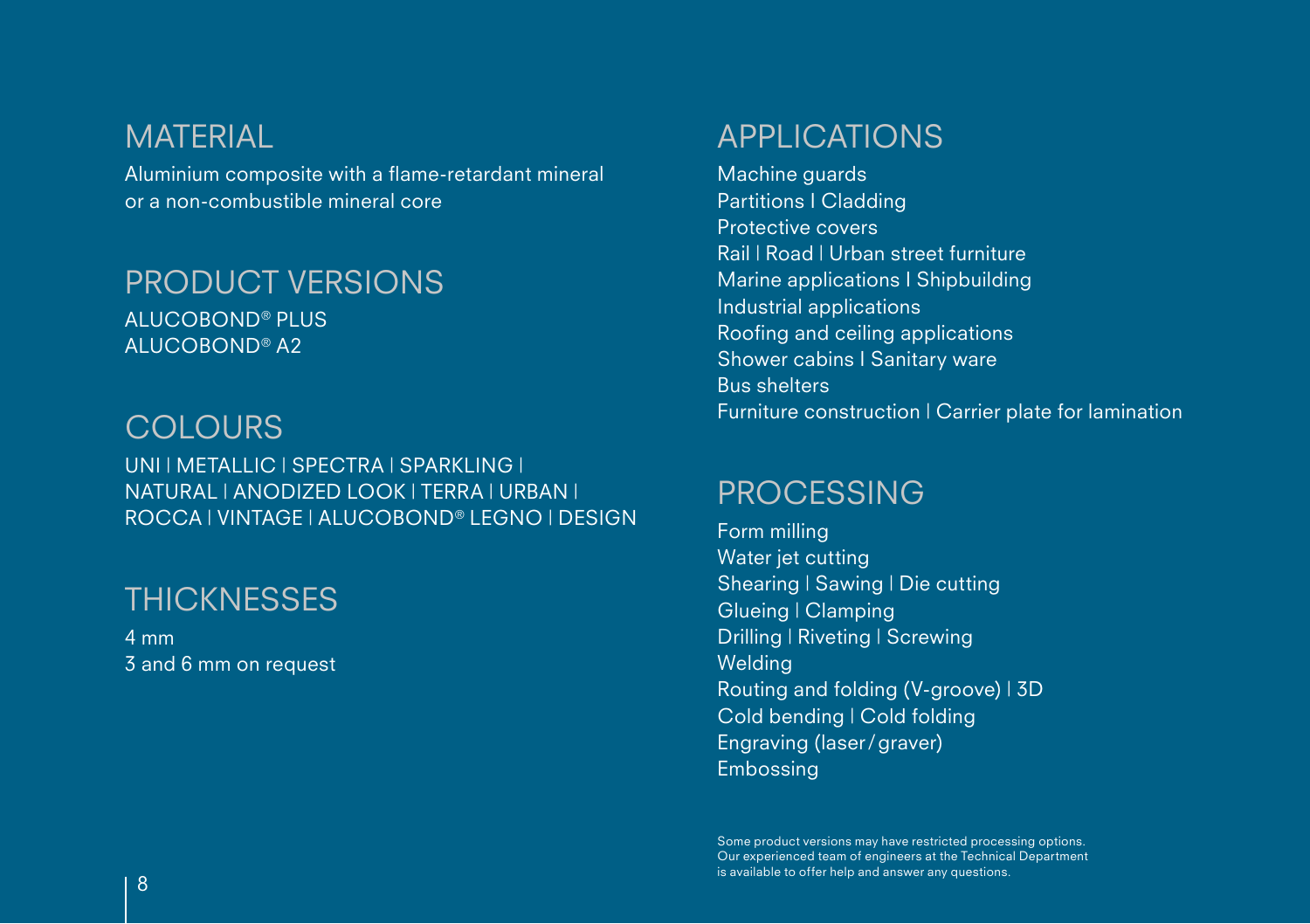#### **MATERIAL**

Aluminium composite with a flame-retardant mineral or a non-combustible mineral core

#### PRODUCT VERSIONS

ALUCOBOND® PLUS ALUCOBOND® A2

#### **COLOURS**

UNI | METALLIC | SPECTRA | SPARKLING | NATURAL | ANODIZED LOOK | TERRA | URBAN | ROCCA | VINTAGE | ALUCOBOND® LEGNO | DESIGN

#### **THICKNESSES**

4 mm 3 and 6 mm on request

#### APPLICATIONS

Machine guards Partitions I Cladding Protective covers Rail | Road | Urban street furniture Marine applications I Shipbuilding Industrial applications Roofing and ceiling applications Shower cabins I Sanitary ware Bus shelters Furniture construction | Carrier plate for lamination

#### PROCESSING

Form milling Water jet cutting Shearing | Sawing | Die cutting Glueing | Clamping Drilling | Riveting | Screwing **Welding** Routing and folding (V-groove) | 3D Cold bending | Cold folding Engraving (laser/graver) Embossing

Some product versions may have restricted processing options. Our experienced team of engineers at the Technical Department is available to offer help and answer any questions. <sup>8</sup>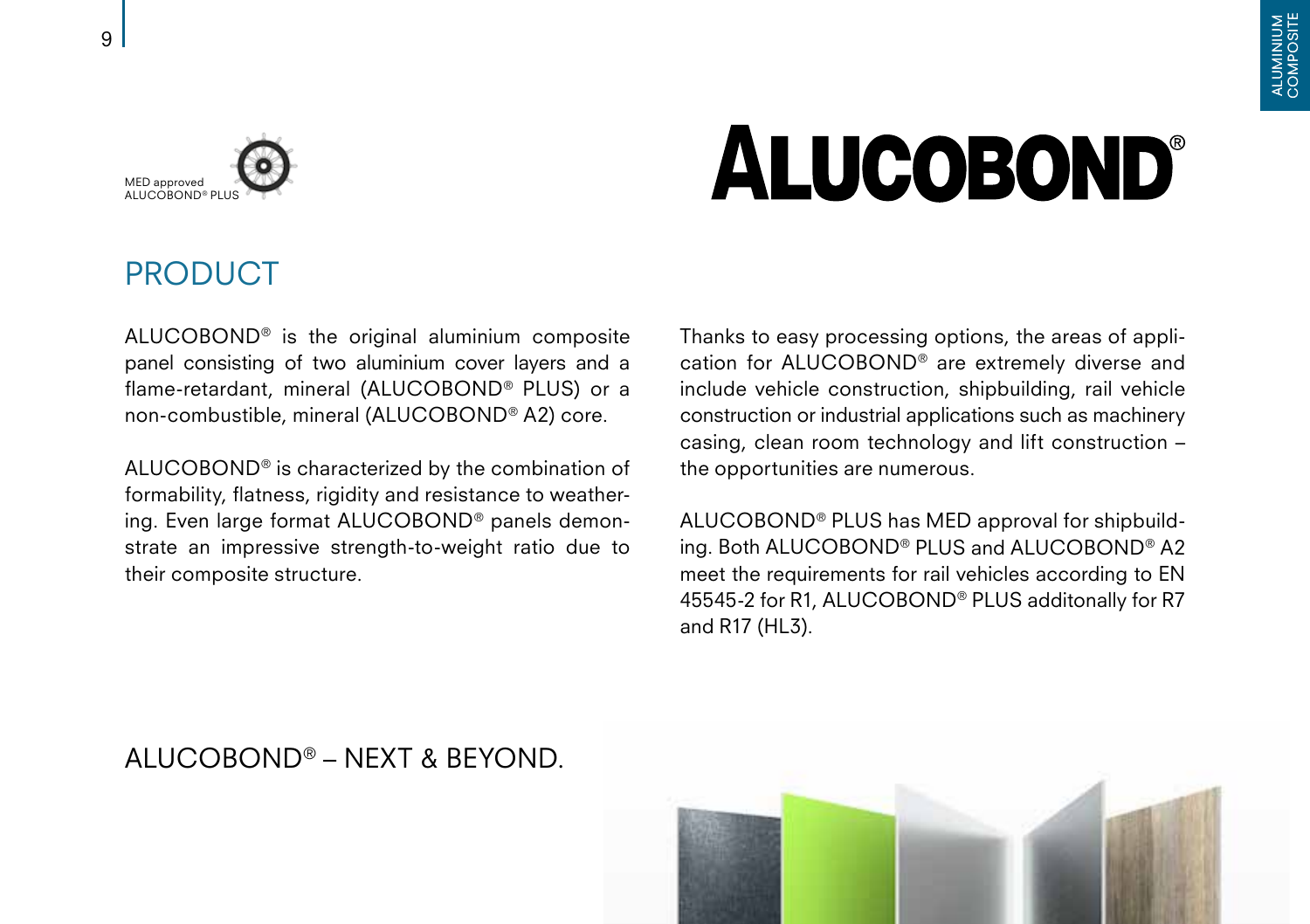

9

# **ALUCOBOND®**

#### PRODUCT

ALUCOBOND® is the original aluminium composite panel consisting of two aluminium cover layers and a flame-retardant, mineral (ALUCOBOND® PLUS) or a non-combustible, mineral (ALUCOBOND® A2) core.

ALUCOBOND® is characterized by the combination of formability, flatness, rigidity and resistance to weathering. Even large format ALUCOBOND® panels demonstrate an impressive strength-to-weight ratio due to their composite structure.

Thanks to easy processing options, the areas of application for ALUCOBOND® are extremely diverse and include vehicle construction, shipbuilding, rail vehicle construction or industrial applications such as machinery casing, clean room technology and lift construction – the opportunities are numerous.

ALUCOBOND® PLUS has MED approval for shipbuilding. Both ALUCOBOND® PLUS and ALUCOBOND® A2 meet the requirements for rail vehicles according to EN 45545-2 for R1, ALUCOBOND® PLUS additonally for R7 and R17 (HL3).



#### ALUCOBOND® – NEXT & BEYOND.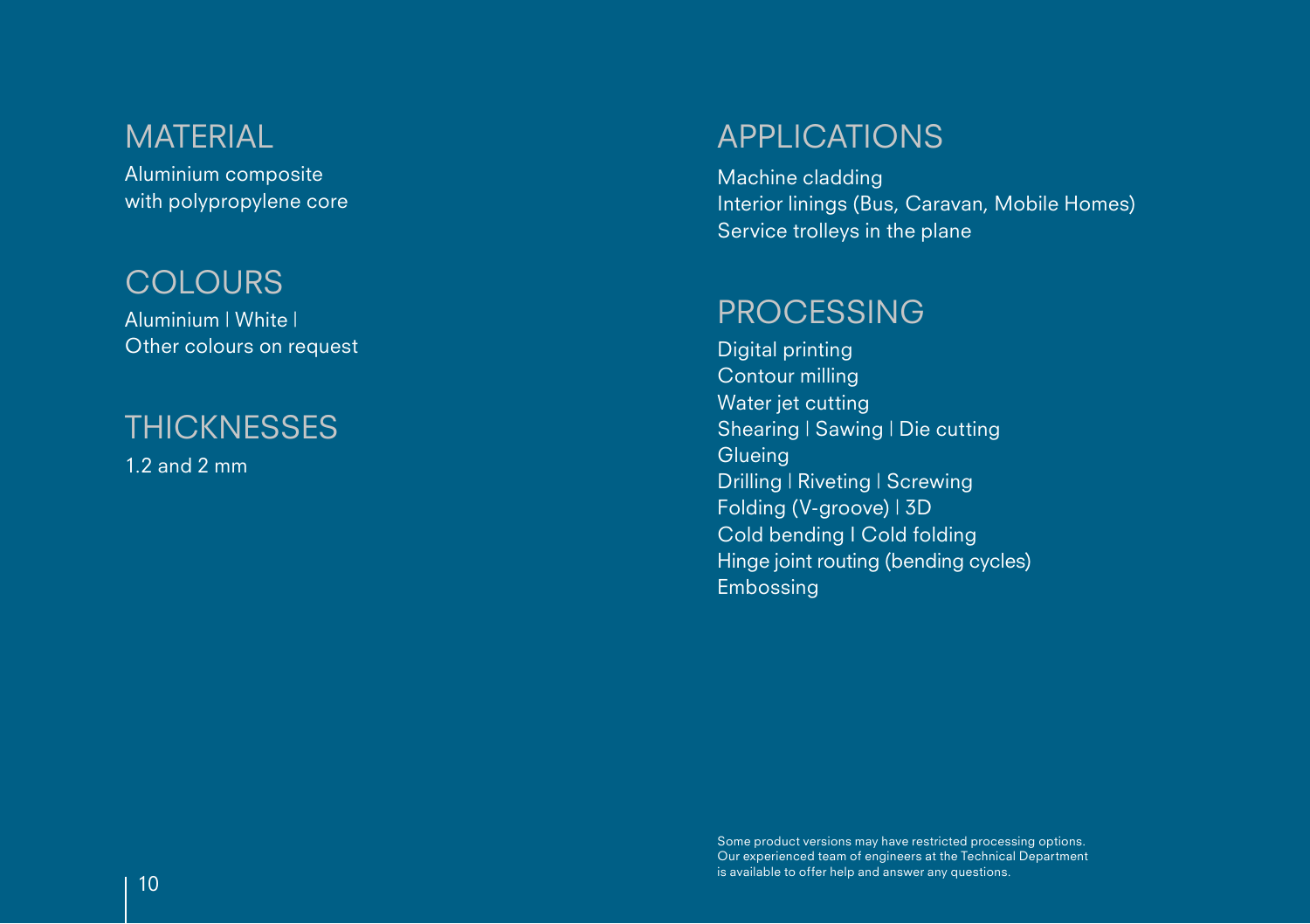#### MATERIAL

Aluminium composite with polypropylene core

#### **COLOURS**

Aluminium | White | Other colours on request

#### **THICKNESSES**

1.2 and 2 mm

#### APPLICATIONS

Machine cladding Interior linings (Bus, Caravan, Mobile Homes) Service trolleys in the plane

#### PROCESSING

Digital printing Contour milling Water jet cutting Shearing | Sawing | Die cutting **Glueing** Drilling | Riveting | Screwing Folding (V-groove) | 3D Cold bending I Cold folding Hinge joint routing (bending cycles) Embossing

Some product versions may have restricted processing options. Our experienced team of engineers at the Technical Department is available to offer help and answer any questions.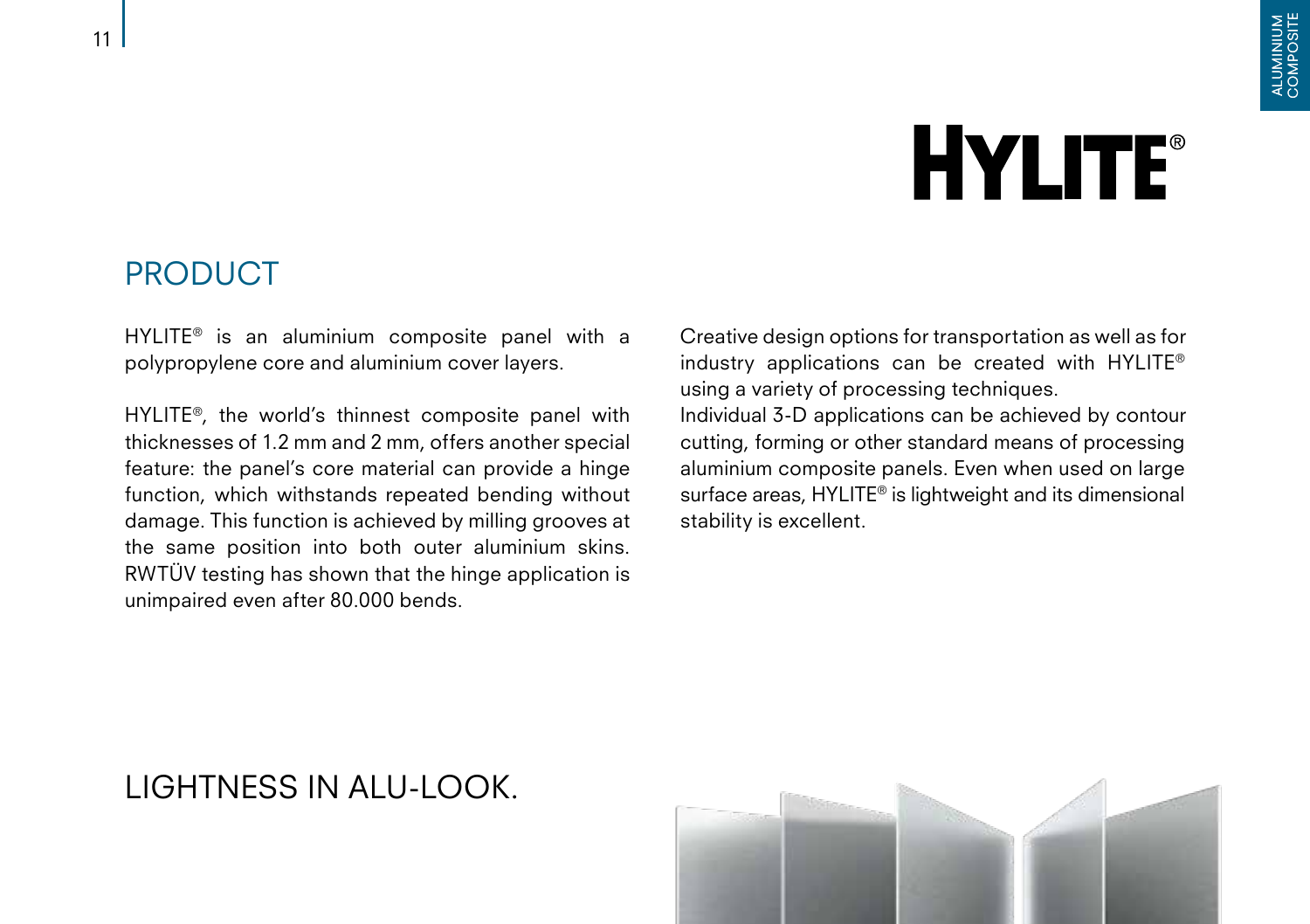# **HYLITE®**

#### PRODUCT

HYLITE® is an aluminium composite panel with a polypropylene core and aluminium cover layers.

HYLITE®, the world's thinnest composite panel with thicknesses of 1.2 mm and 2 mm, offers another special feature: the panel's core material can provide a hinge function, which withstands repeated bending without damage. This function is achieved by milling grooves at the same position into both outer aluminium skins. RWTÜV testing has shown that the hinge application is unimpaired even after 80.000 bends.

Creative design options for transportation as well as for industry applications can be created with HYLITE® using a variety of processing techniques. Individual 3-D applications can be achieved by contour

cutting, forming or other standard means of processing aluminium composite panels. Even when used on large surface areas, HYLITE® is lightweight and its dimensional stability is excellent.

#### LIGHTNESS IN ALU-LOOK.

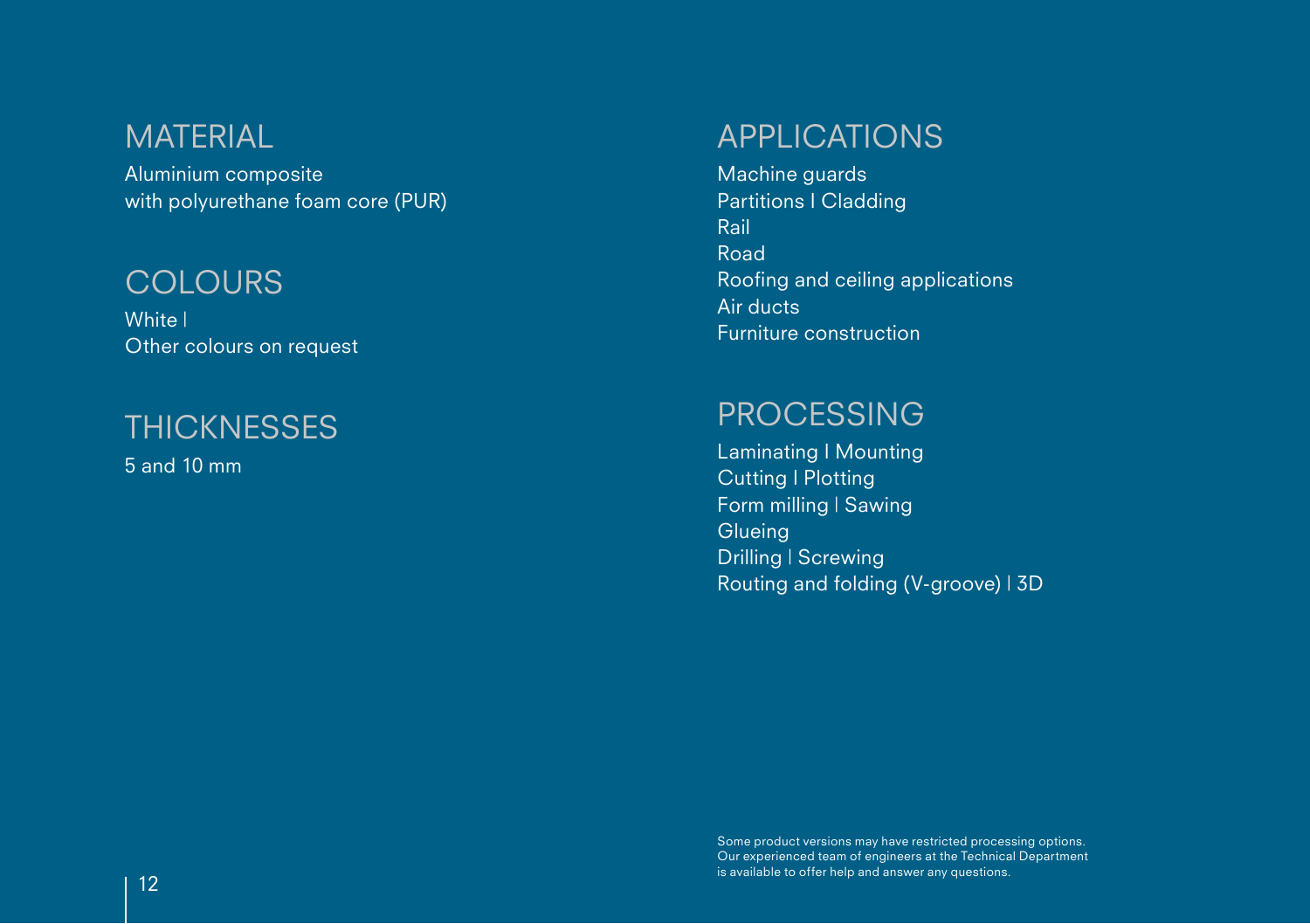#### MATERIAL

Aluminium composite with polyurethane foam core (PUR)

#### **COLOURS**

Furniture construction White | Other colours on request

#### **THICKNESSES**

5 and 10 mm

#### APPLICATIONS

Machine guards Partitions I Cladding Rail Road Roofing and ceiling applications Air ducts

#### PROCESSING

Laminating I Mounting Cutting I Plotting Form milling | Sawing **Glueing** Drilling | Screwing Routing and folding (V-groove) | 3D

Some product versions may have restricted processing options. Our experienced team of engineers at the Technical Department is available to offer help and answer any questions. <sup>12</sup>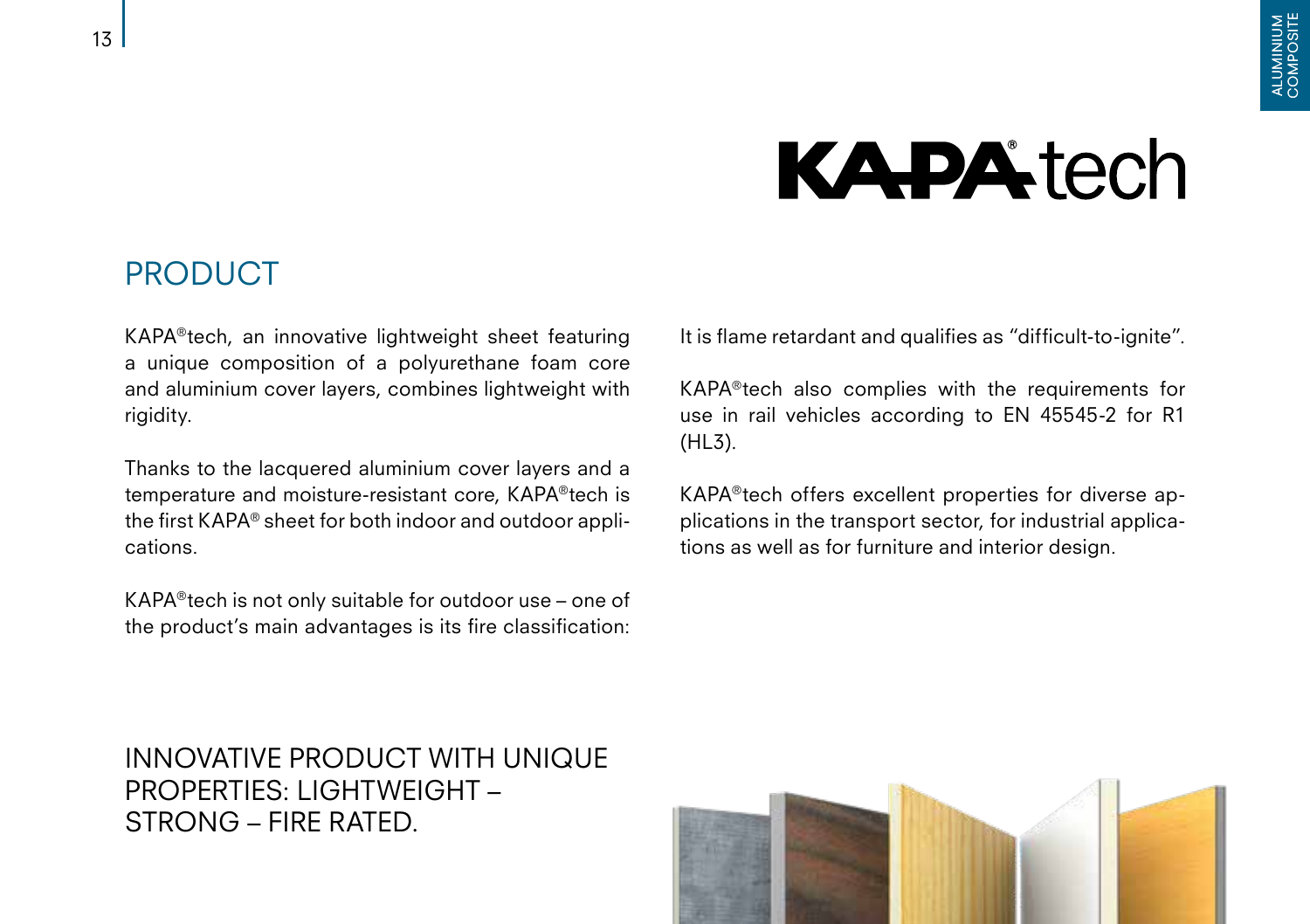### **KAPA**tech

#### PRODUCT

KAPA®tech, an innovative lightweight sheet featuring a unique composition of a polyurethane foam core and aluminium cover layers, combines lightweight with rigidity.

Thanks to the lacquered aluminium cover layers and a temperature and moisture-resistant core, KAPA®tech is the first KAPA® sheet for both indoor and outdoor applications.

KAPA®tech is not only suitable for outdoor use – one of the product's main advantages is its fire classification:

It is flame retardant and qualifies as "difficult-to-ignite".

KAPA®tech also complies with the requirements for use in rail vehicles according to EN 45545-2 for R1 (HL3).

KAPA®tech offers excellent properties for diverse applications in the transport sector, for industrial applications as well as for furniture and interior design.

INNOVATIVE PRODUCT WITH UNIQUE PROPERTIES: LIGHTWEIGHT – STRONG – FIRE RATED.

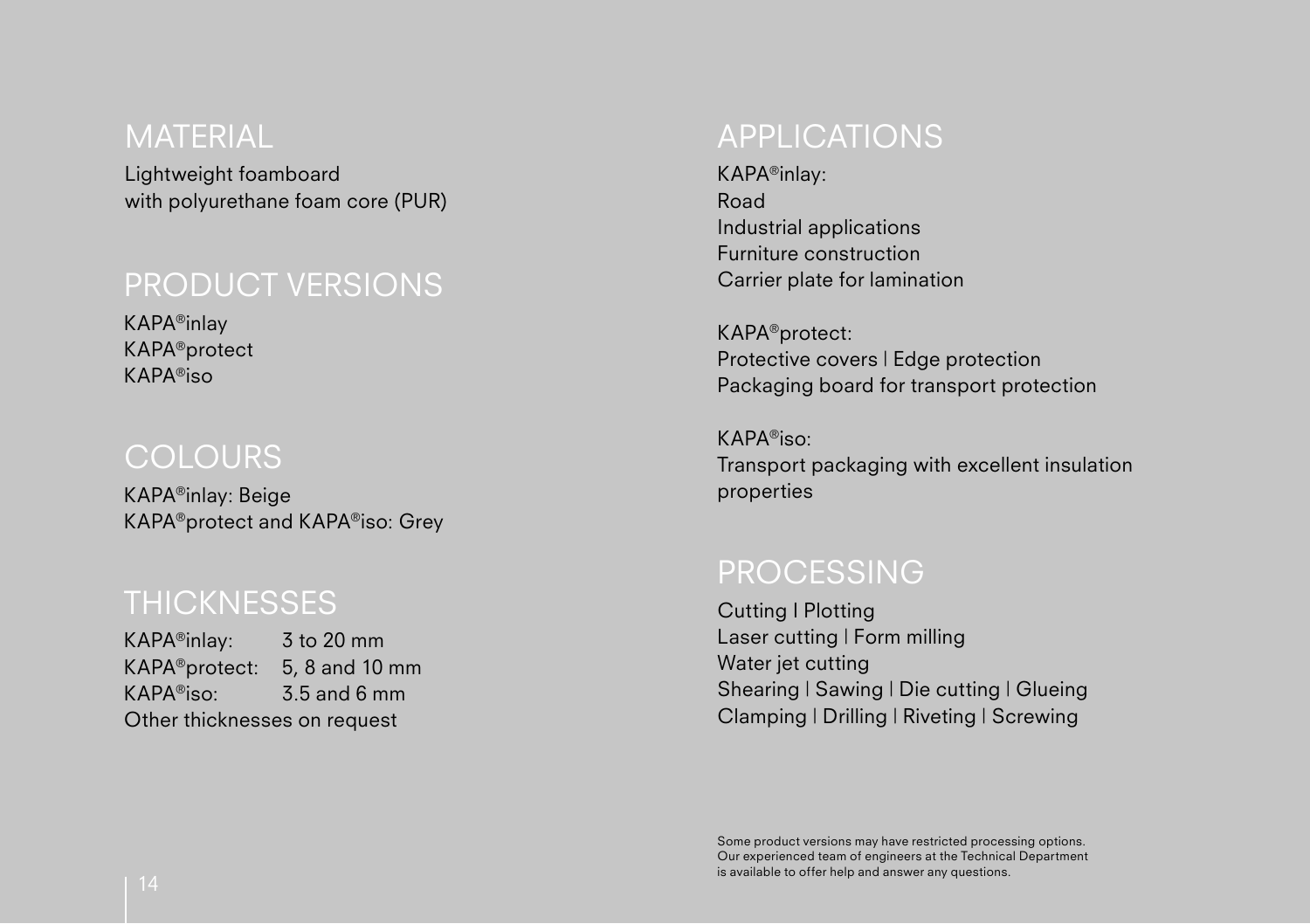#### MATERIAL

Lightweight foamboard with polyurethane foam core (PUR)

#### PRODUCT VERSIONS

KAPA®inlay KAPA®protect KAPA®iso

#### **COLOURS**

KAPA®inlay: Beige KAPA®protect and KAPA®iso: Grey

#### THICKNESSES Cutting I Plotting

KAPA®inlay: 3 to 20 mm KAPA®protect: 5, 8 and 10 mm KAPA®iso: 3.5 and 6 mm Other thicknesses on request

#### APPLICATIONS

KAPA®inlay: Road Industrial applications Furniture construction Carrier plate for lamination

KAPA®protect: Protective covers | Edge protection Packaging board for transport protection

KAPA®iso: Transport packaging with excellent insulation properties

#### PROCESSING

Laser cutting | Form milling Water jet cutting Shearing | Sawing | Die cutting | Glueing Clamping | Drilling | Riveting | Screwing

Some product versions may have restricted processing options. Our experienced team of engineers at the Technical Department is available to offer help and answer any questions. <sup>14</sup>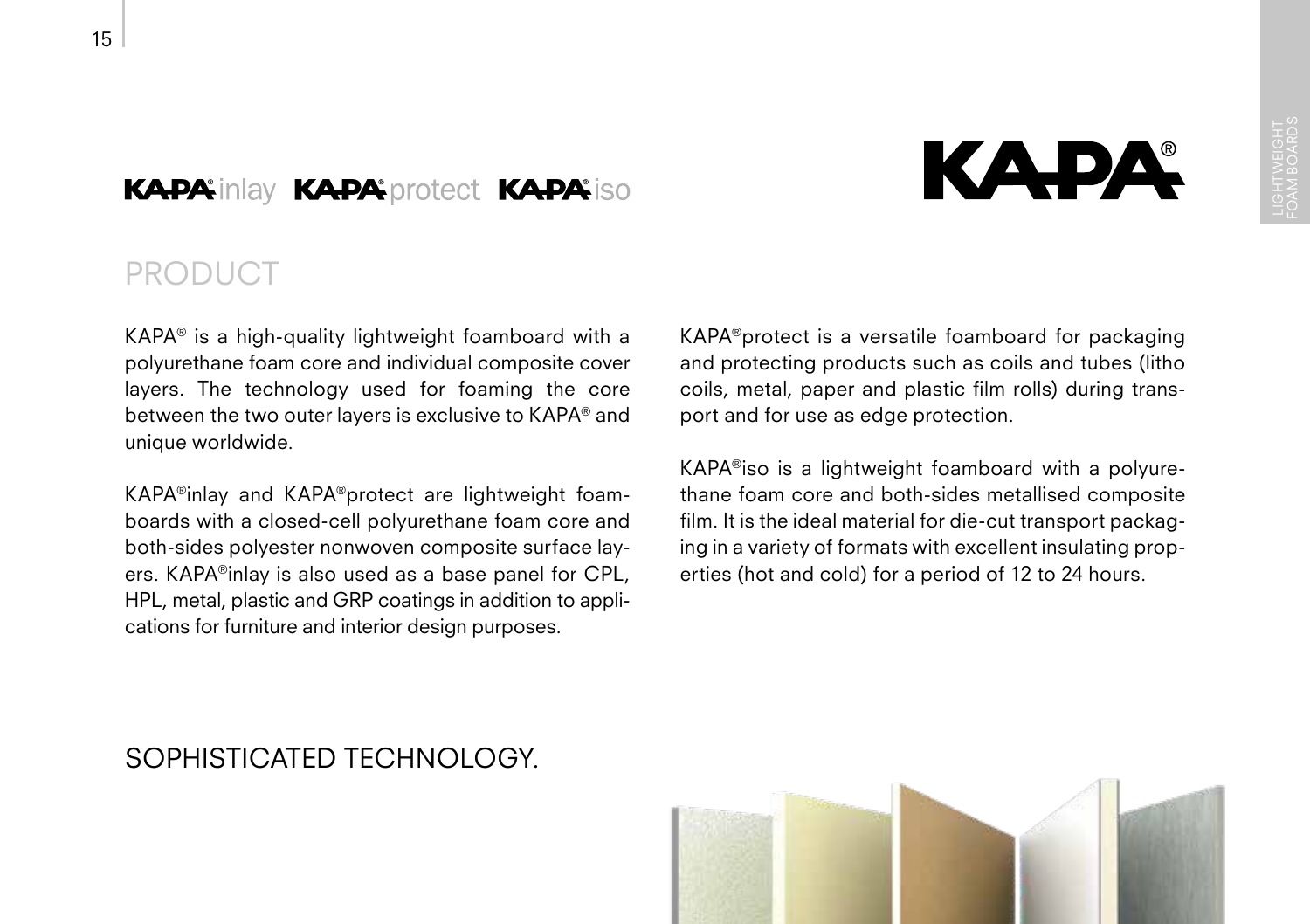#### **KAPA:** inlay KAPA: protect KAPA: iso

### PRODUCT

KAPA® is a high-quality lightweight foamboard with a polyurethane foam core and individual composite cover layers. The technology used for foaming the core between the two outer layers is exclusive to KAPA® and unique worldwide.

KAPA®inlay and KAPA®protect are lightweight foamboards with a closed-cell polyurethane foam core and both-sides polyester nonwoven composite surface layers. KAPA®inlay is also used as a base panel for CPL, HPL, metal, plastic and GRP coatings in addition to applications for furniture and interior design purposes.

KAPA®protect is a versatile foamboard for packaging and protecting products such as coils and tubes (litho coils, metal, paper and plastic film rolls) during transport and for use as edge protection.

КАРА

KAPA®iso is a lightweight foamboard with a polyurethane foam core and both-sides metallised composite film. It is the ideal material for die-cut transport packaging in a variety of formats with excellent insulating properties (hot and cold) for a period of 12 to 24 hours.

#### SOPHISTICATED TECHNOLOGY.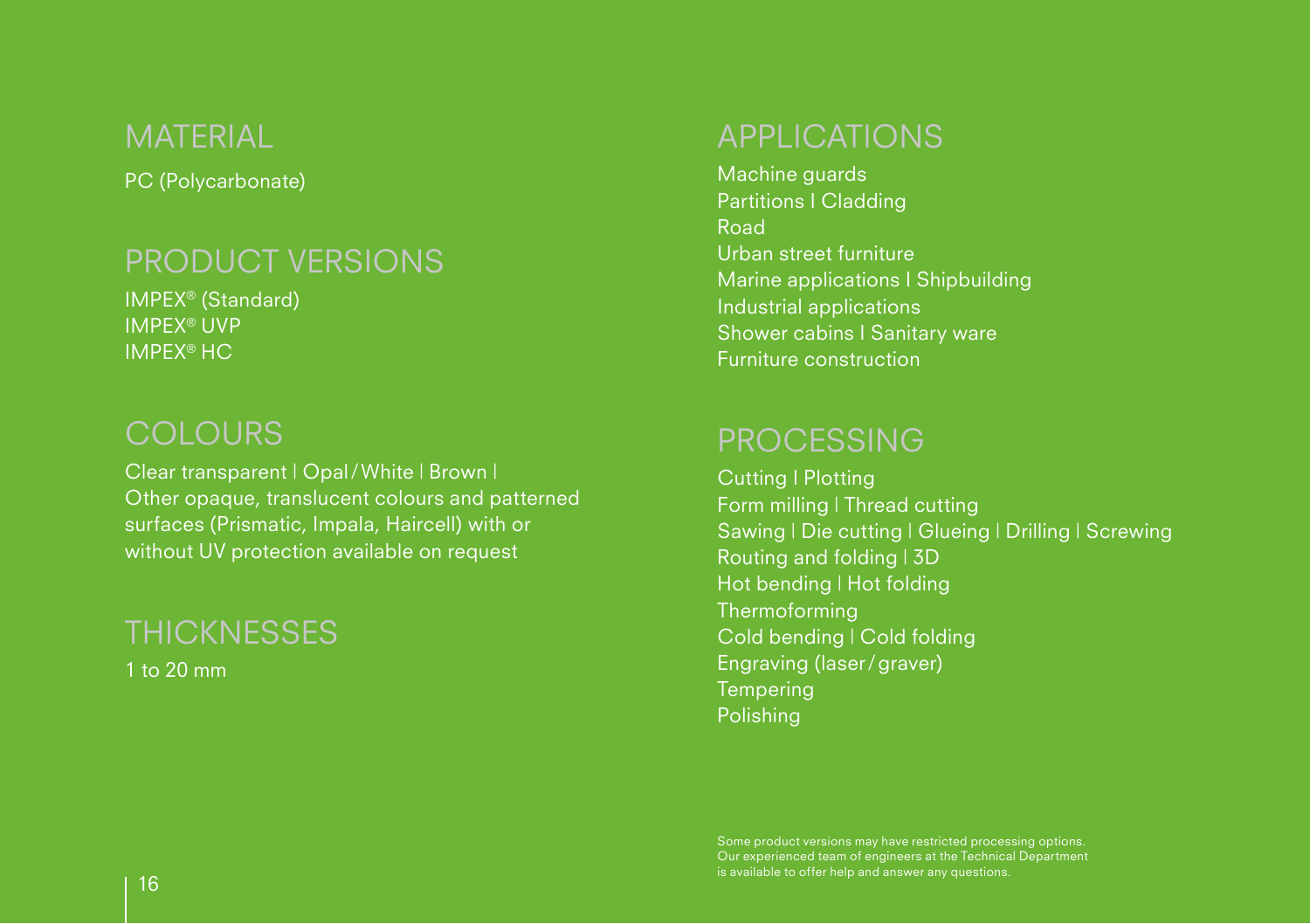#### MATERIAL

PC (Polycarbonate)

#### PRODUCT VERSIONS

IMPEX® (Standard) IMPEX® UVP IMPEX® HC

#### **COLOURS**

Clear transparent | Opal/White | Brown | Other opaque, translucent colours and patterned surfaces (Prismatic, Impala, Haircell) with or without UV protection available on request

#### **THICKNESSES**

1 to 20 mm

#### APPLICATIONS

Machine guards Partitions I Cladding Road Urban street furniture Marine applications I Shipbuilding Industrial applications Shower cabins I Sanitary ware Furniture construction

#### **PROCESSING**

Cutting I Plotting Form milling | Thread cutting Sawing | Die cutting | Glueing | Drilling | Screwing Routing and folding | 3D Hot bending | Hot folding Thermoforming Cold bending | Cold folding Engraving (laser/graver) **Tempering** Polishing

Some product versions may have restricted processing options. Our experienced team of engineers at the Technical Department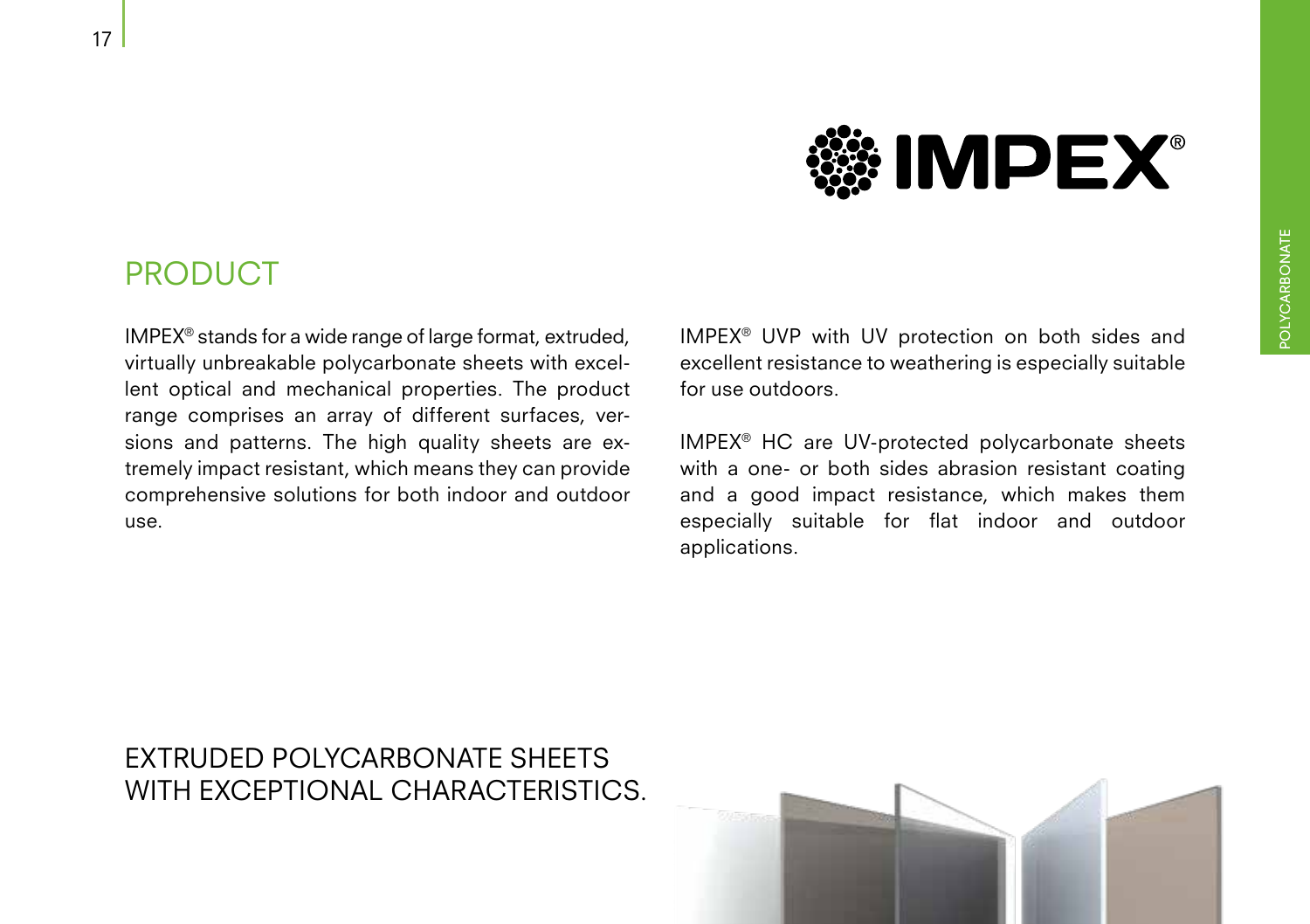### **NIMPEX®**

#### PRODUCT

IMPEX® stands for a wide range of large format, extruded, virtually unbreakable polycarbonate sheets with excellent optical and mechanical properties. The product range comprises an array of different surfaces, versions and patterns. The high quality sheets are extremely impact resistant, which means they can provide comprehensive solutions for both indoor and outdoor use.

IMPEX® UVP with UV protection on both sides and excellent resistance to weathering is especially suitable for use outdoors.

IMPEX® HC are UV-protected polycarbonate sheets with a one- or both sides abrasion resistant coating and a good impact resistance, which makes them especially suitable for flat indoor and outdoor applications.

#### EXTRUDED POLYCARBONATE SHEETS WITH EXCEPTIONAL CHARACTERISTICS.

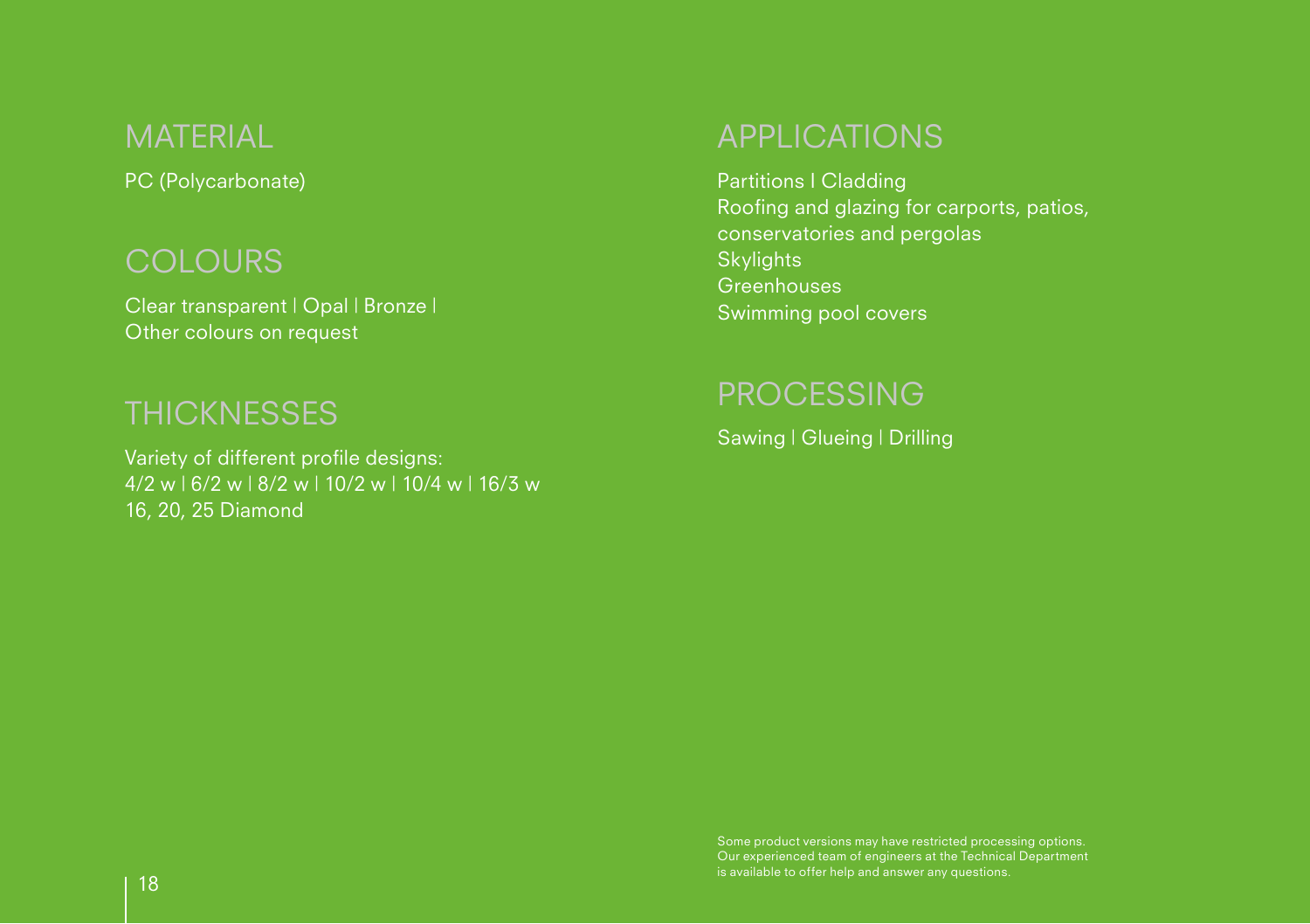#### MATERIAL

PC (Polycarbonate)

#### **COLOURS**

Clear transparent | Opal | Bronze | Swimming pool covers Other colours on request

#### **THICKNESSES**

Variety of different profile designs: 4/2 w | 6/2 w | 8/2 w | 10/2 w | 10/4 w | 16/3 w 16, 20, 25 Diamond

#### APPLICATIONS

Partitions I Cladding Roofing and glazing for carports, patios, conservatories and pergolas **Skylights** Greenhouses

#### PROCESSING

Sawing | Glueing | Drilling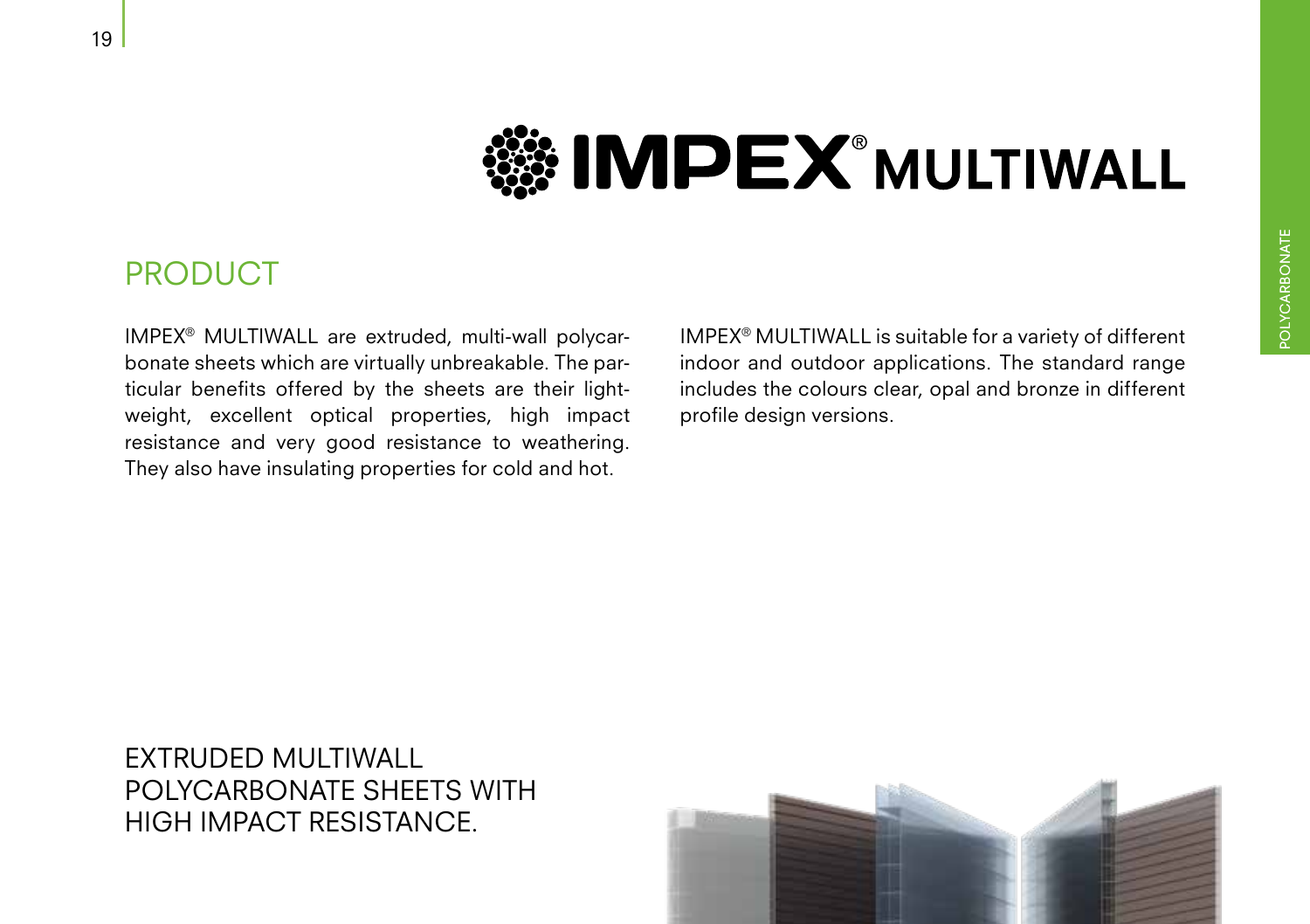### **SOMPEX MULTIWALL**

#### PRODUCT

IMPEX® MULTIWALL are extruded, multi-wall polycarbonate sheets which are virtually unbreakable. The particular benefits offered by the sheets are their lightweight, excellent optical properties, high impact resistance and very good resistance to weathering. They also have insulating properties for cold and hot.

IMPEX® MULTIWALL is suitable for a variety of different indoor and outdoor applications. The standard range includes the colours clear, opal and bronze in different profile design versions.

#### EXTRUDED MULTIWALL POLYCARBONATE SHEETS WITH HIGH IMPACT RESISTANCE.

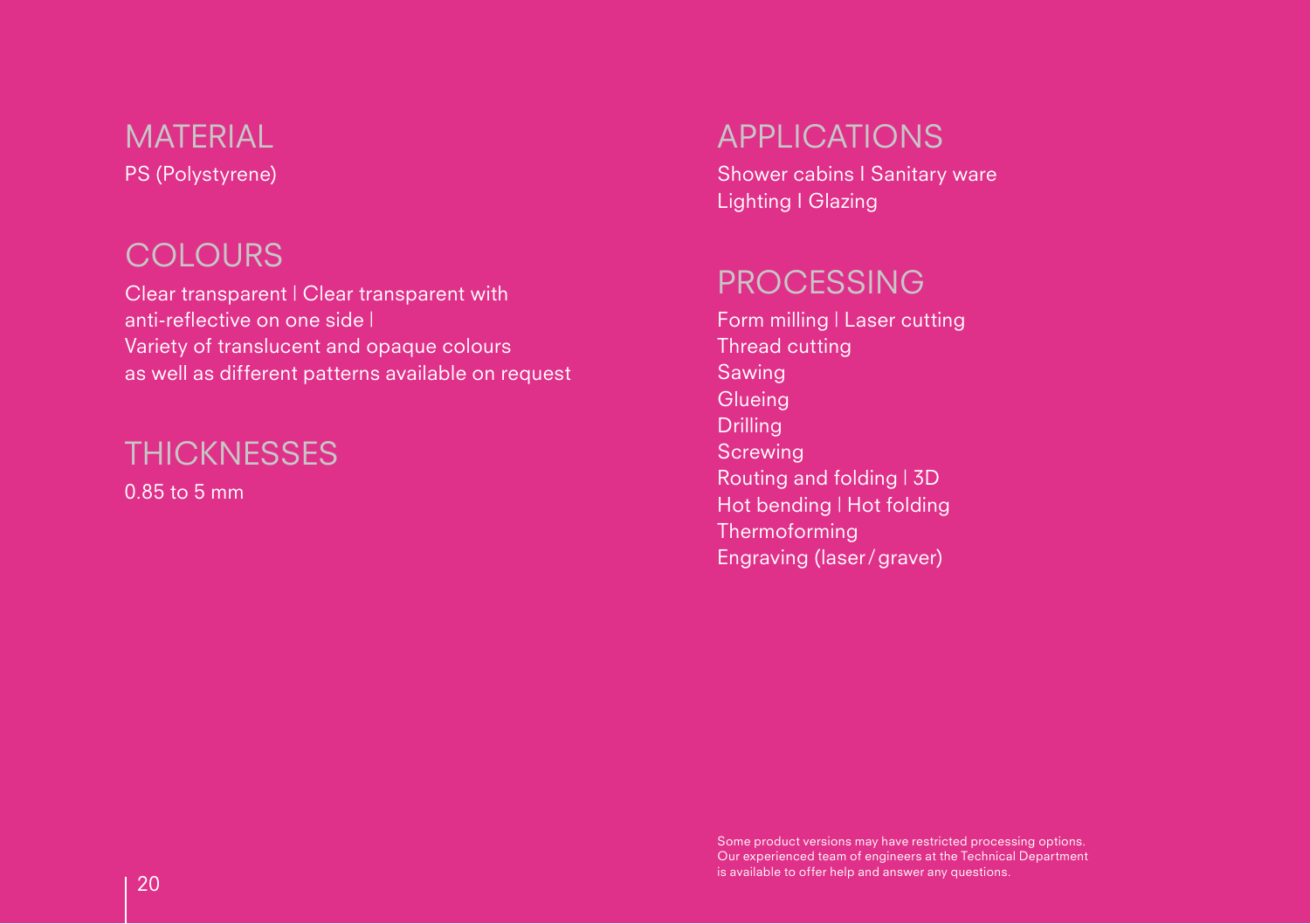#### PS (Polystyrene) **MATERIAL**

#### **COLOURS**

Clear transparent | Clear transparent with PROCESSING anti-reflective on one side | Variety of translucent and opaque colours as well as different patterns available on request

#### **THICKNESSES**

0.85 to 5 mm

#### APPLICATIONS

Shower cabins I Sanitary ware Lighting I Glazing

Form milling | Laser cutting Thread cutting Sawing **Glueing** Drilling **Screwing** Routing and folding | 3D Hot bending | Hot folding **Thermoforming** Engraving (laser/graver)

Some product versions may have restricted processing options. Our experienced team of engineers at the Technical Department  $\sim$  20  $\,$   $\sim$   $\,$   $\sim$   $\,$   $\sim$   $\,$   $\sim$   $\,$   $\sim$   $\,$   $\sim$   $\,$   $\sim$   $\,$   $\sim$   $\,$   $\sim$   $\,$   $\sim$   $\,$   $\sim$   $\,$   $\sim$   $\,$   $\sim$   $\,$   $\sim$   $\,$   $\sim$   $\,$   $\sim$   $\,$   $\sim$   $\,$   $\sim$   $\,$   $\sim$   $\,$   $\sim$   $\,$   $\sim$   $\,$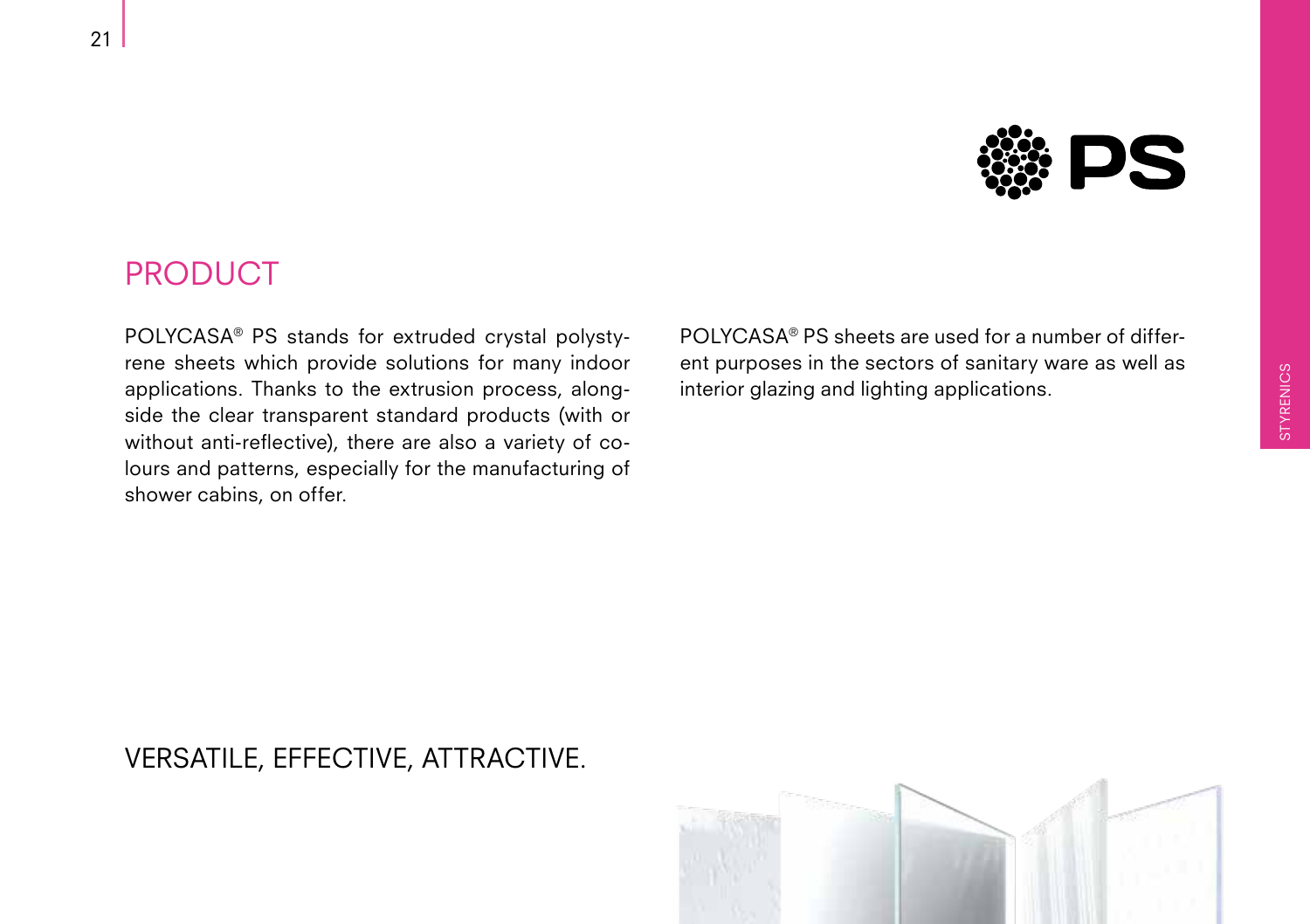

#### PRODUCT

POLYCASA® PS stands for extruded crystal polystyrene sheets which provide solutions for many indoor applications. Thanks to the extrusion process, alongside the clear transparent standard products (with or without anti-reflective), there are also a variety of colours and patterns, especially for the manufacturing of shower cabins, on offer.

POLYCASA® PS sheets are used for a number of different purposes in the sectors of sanitary ware as well as interior glazing and lighting applications.

#### VERSATILE, EFFECTIVE, ATTRACTIVE.

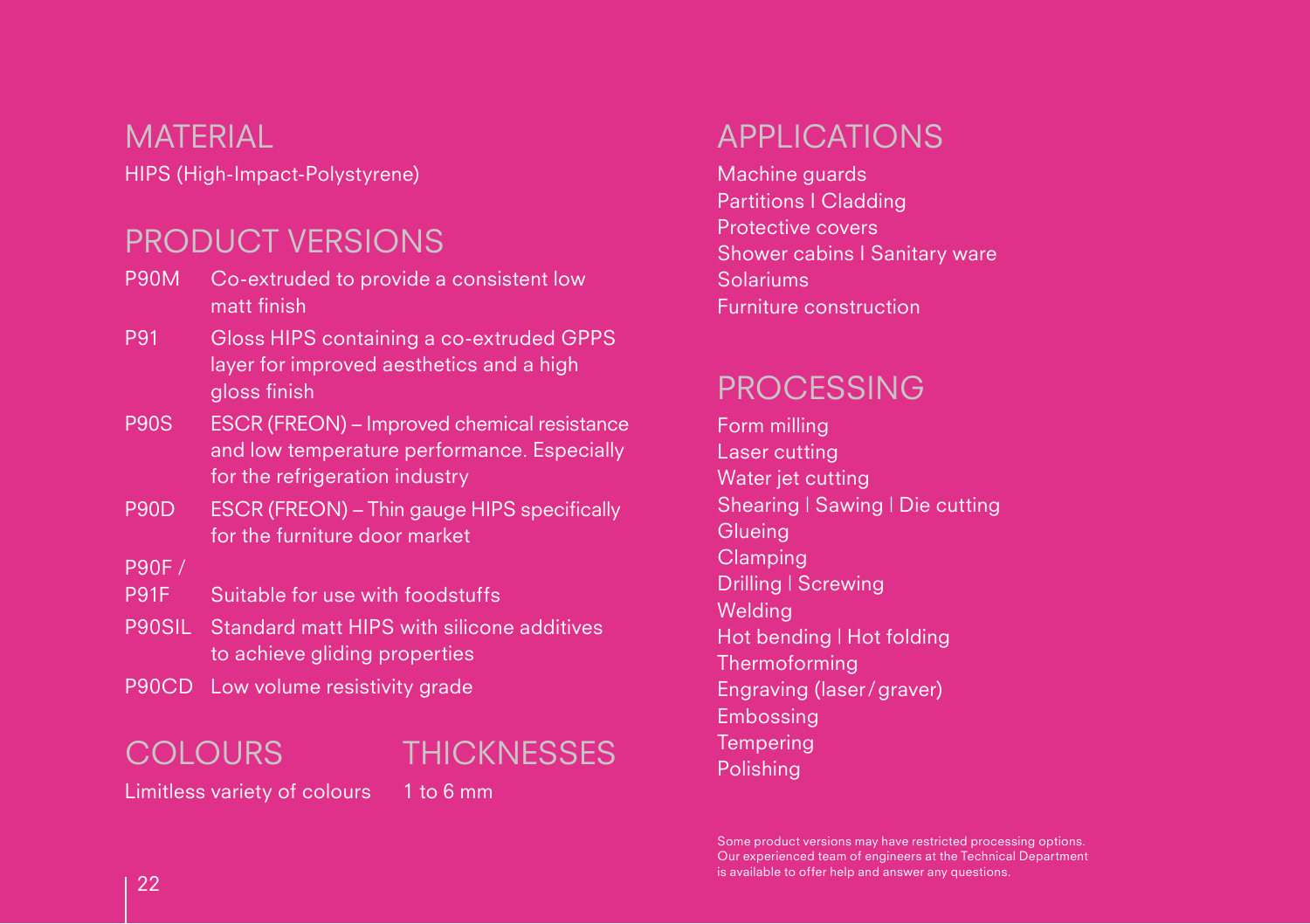#### MATERIAL

HIPS (High-Impact-Polystyrene)

#### PRODUCT VERSIONS

- P90M Co-extruded to provide a consistent low matt finish
- P91 Gloss HIPS containing a co-extruded GPPS layer for improved aesthetics and a high gloss finish
- P90S ESCR (FREON) Improved chemical resistance and low temperature performance. Especially for the refrigeration industry
- P90D ESCR (FREON) Thin gauge HIPS specifically for the furniture door market

P90F /

- P91F Suitable for use with foodstuffs
- P90SIL Standard matt HIPS with silicone additives to achieve gliding properties
- P90CD Low volume resistivity grade

#### COLOURS

#### THICKNESSES

Limitless variety of colours 1 to 6 mm

#### APPLICATIONS

Machine guards Partitions I Cladding Protective covers Shower cabins I Sanitary ware Solariums Furniture construction

#### PROCESSING

Form milling Laser cutting Water jet cutting Shearing | Sawing | Die cutting **Glueing Clamping** Drilling | Screwing Welding Hot bending | Hot folding **Thermoforming** Engraving (laser/graver) Embossing **Tempering** Polishing

Some product versions may have restricted processing options. Our experienced team of engineers at the Technical Department  $22$  is available to offer help and answer any questions.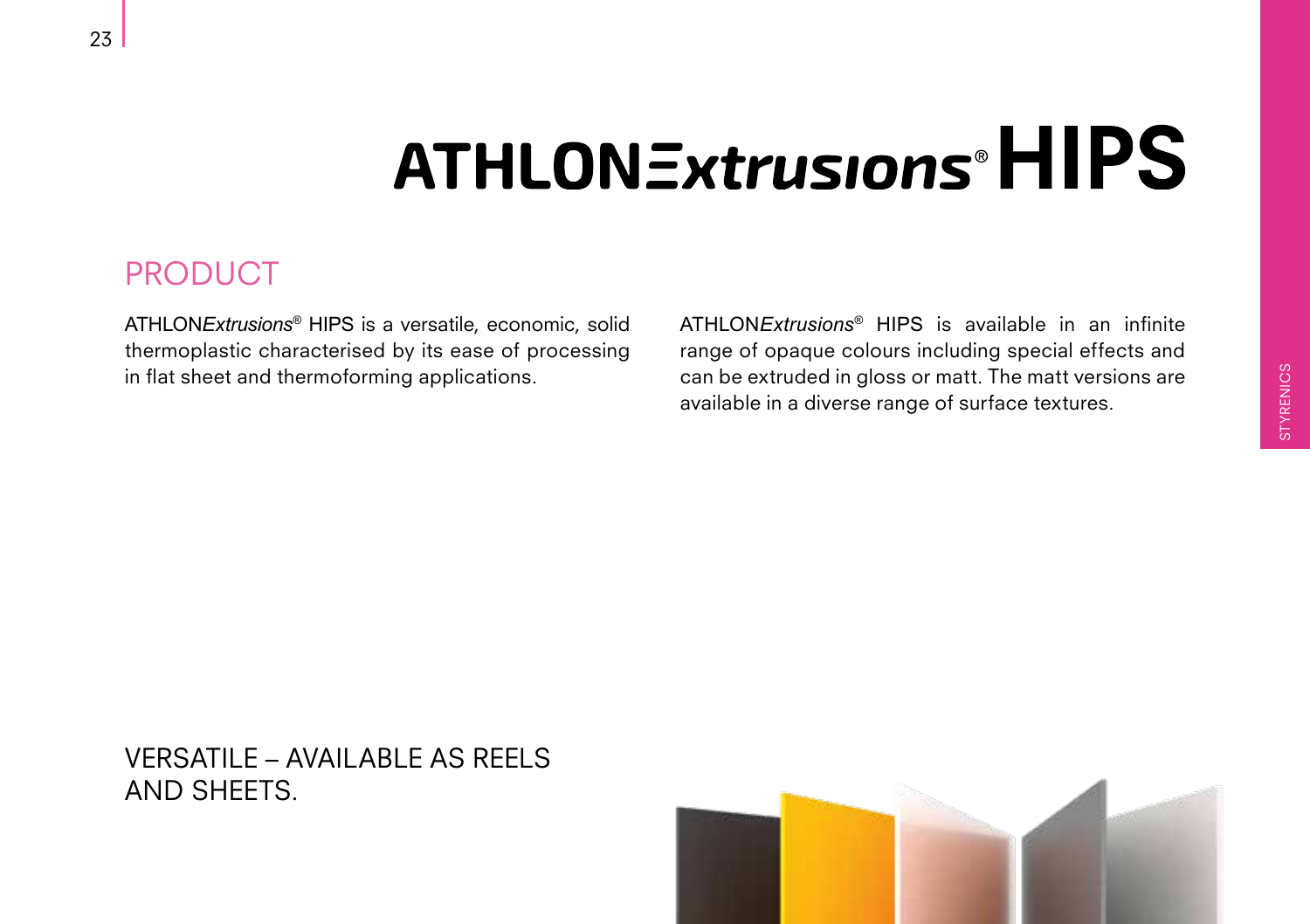### **ATHLONExtrusions<sup>®</sup>HIPS**

#### PRODUCT

ATHLON*Extrusions*® HIPS is a versatile, economic, solid thermoplastic characterised by its ease of processing in flat sheet and thermoforming applications.

ATHLON*Extrusions*® HIPS is available in an infinite range of opaque colours including special effects and can be extruded in gloss or matt. The matt versions are available in a diverse range of surface textures.

#### VERSATILE – AVAILABLE AS REELS AND SHEETS.

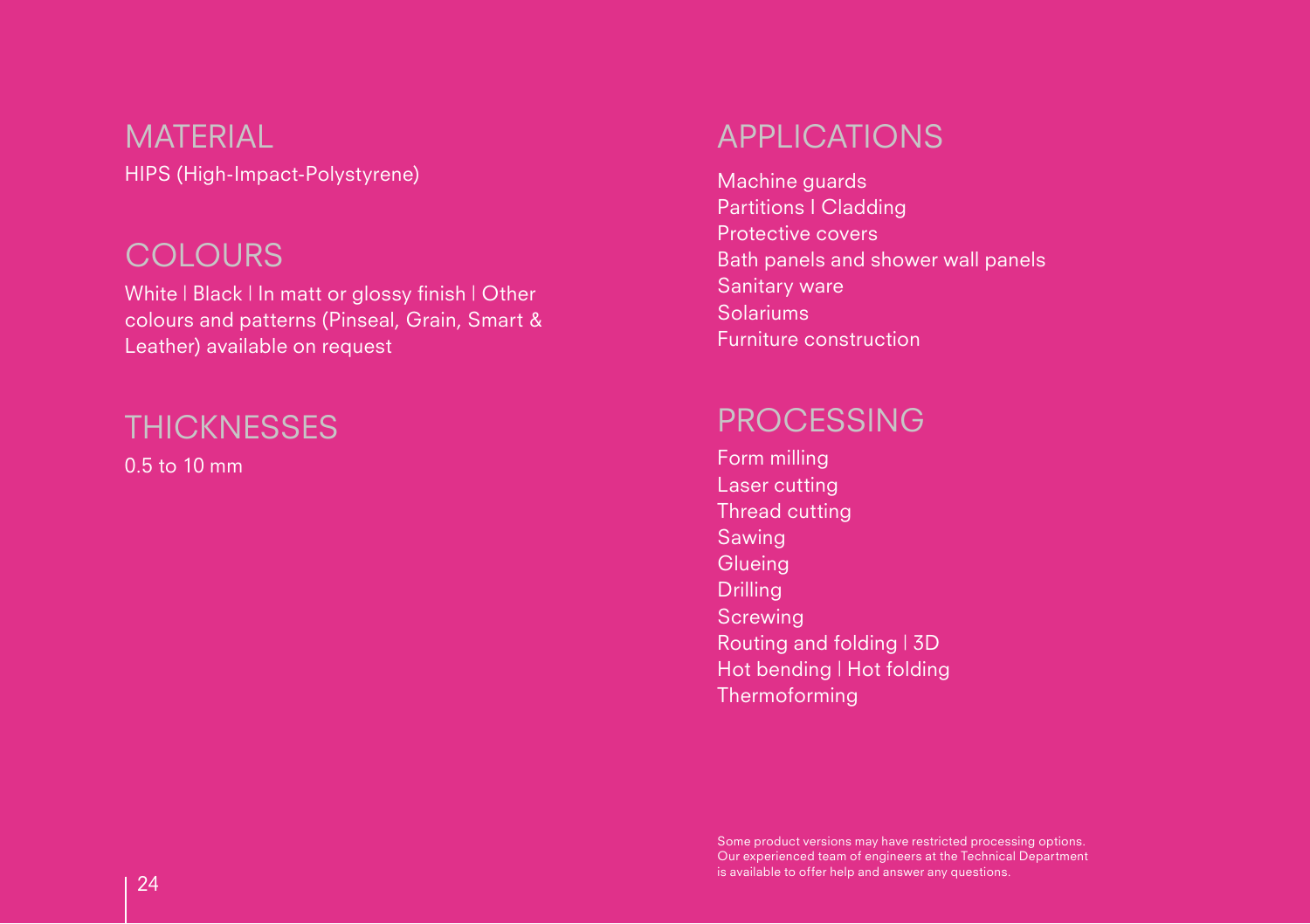HIPS (High-Impact-Polystyrene) **MATERIAL** 

#### **COLOURS**

White | Black | In matt or glossy finish | Other colours and patterns (Pinseal, Grain, Smart & Leather) available on request

#### **THICKNESSES**

0.5 to 10 mm

#### APPLICATIONS

Machine guards Partitions I Cladding Protective covers Bath panels and shower wall panels Sanitary ware Solariums Furniture construction

#### PROCESSING

Form milling Laser cutting Thread cutting Sawing **Glueing** Drilling **Screwing** Routing and folding | 3D Hot bending | Hot folding Thermoforming

Some product versions may have restricted processing options. Our experienced team of engineers at the Technical Department  $24$  is available to offer help and answer any questions.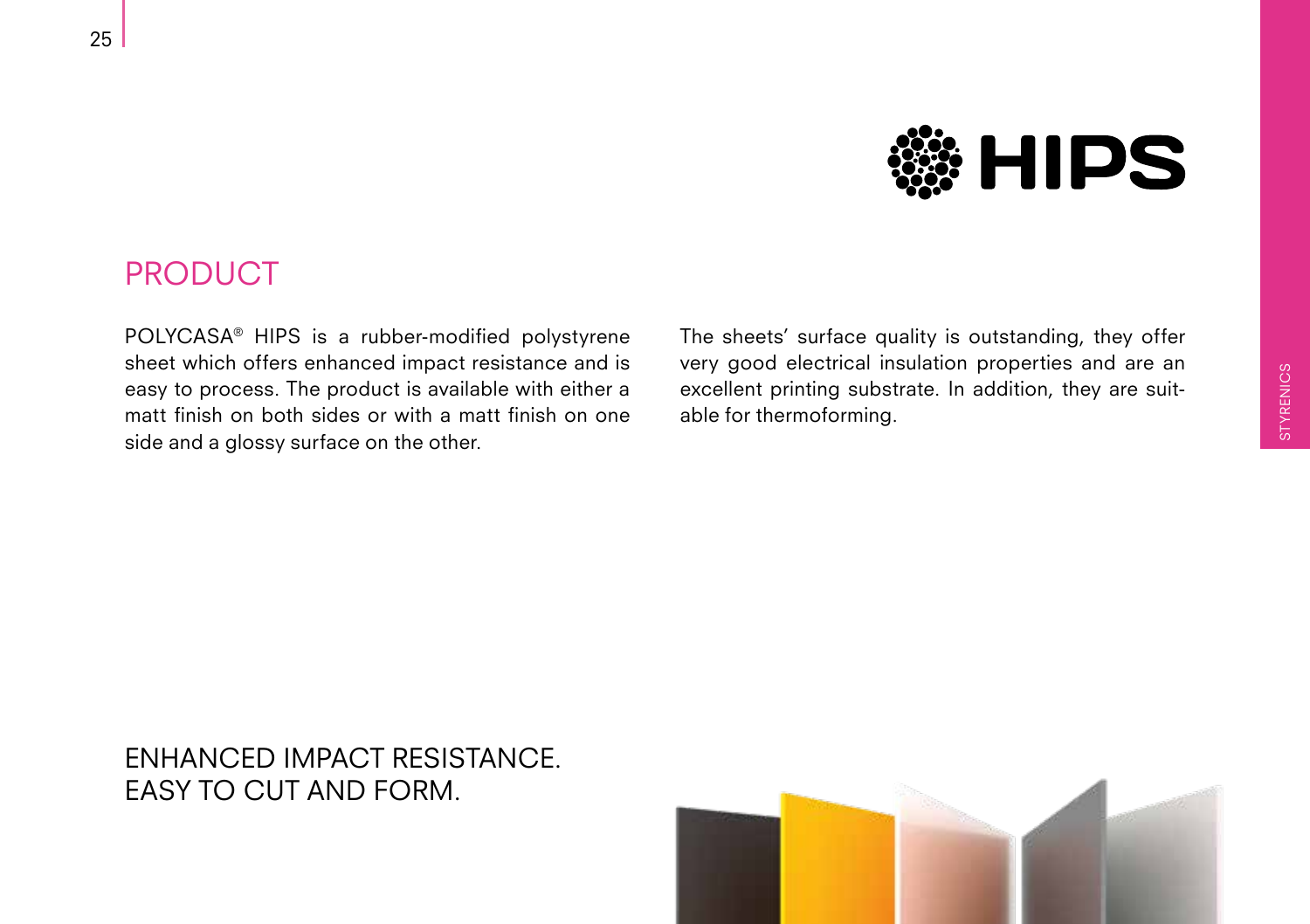

#### PRODUCT

POLYCASA® HIPS is a rubber-modified polystyrene sheet which offers enhanced impact resistance and is easy to process. The product is available with either a matt finish on both sides or with a matt finish on one side and a glossy surface on the other.

The sheets' surface quality is outstanding, they offer very good electrical insulation properties and are an excellent printing substrate. In addition, they are suitable for thermoforming.

#### ENHANCED IMPACT RESISTANCE. EASY TO CUT AND FORM.

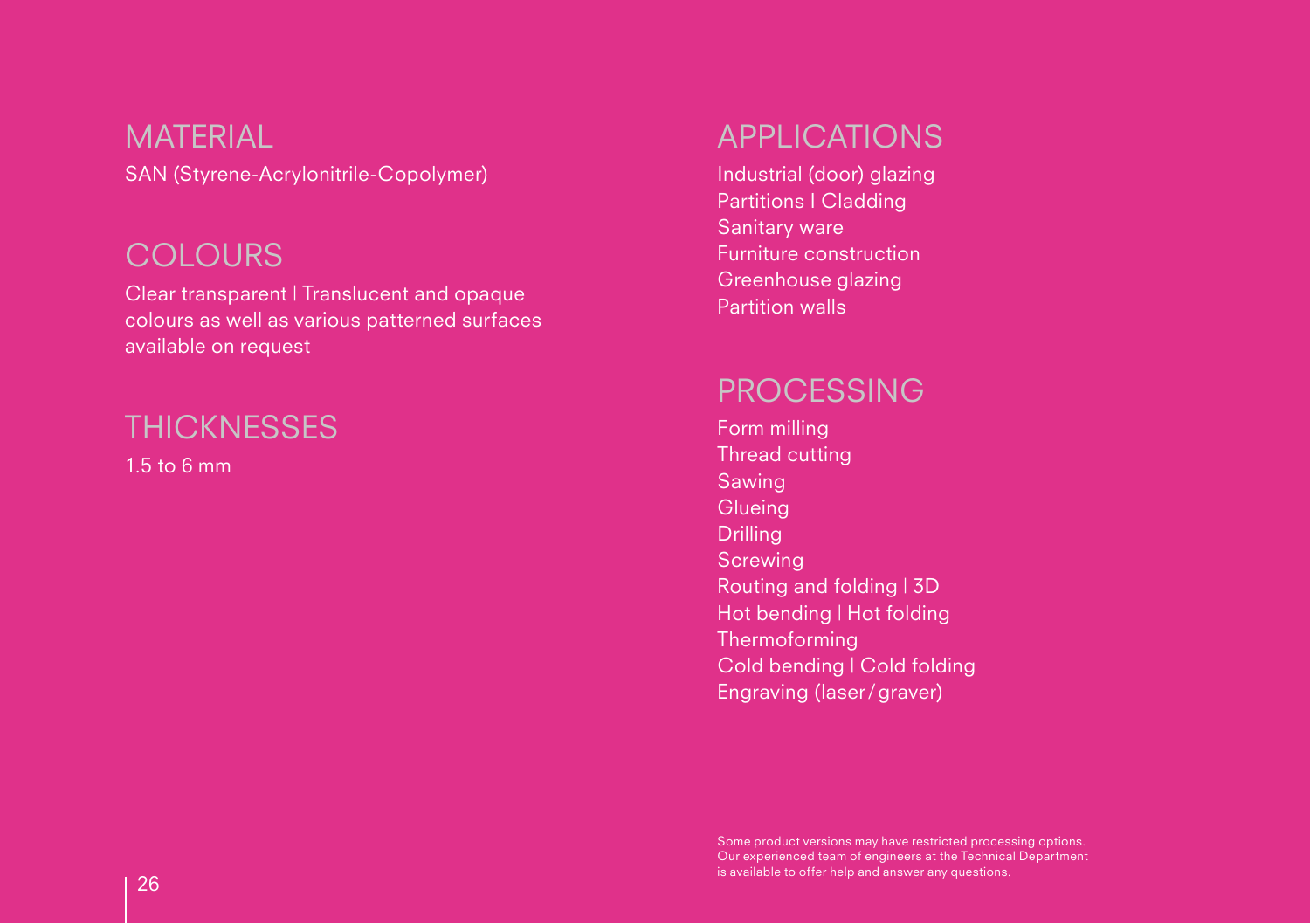SAN (Styrene-Acrylonitrile-Copolymer) **MATERIAL** 

#### **COLOURS**

Clear transparent | Translucent and opaque colours as well as various patterned surfaces available on request

#### **THICKNESSES**

1.5 to 6 mm

#### APPLICATIONS

Industrial (door) glazing Partitions I Cladding Sanitary ware Furniture construction Greenhouse glazing Partition walls

#### **PROCESSING**

Form milling Thread cutting Sawing **Glueing** Drilling **Screwing** Routing and folding | 3D Hot bending | Hot folding **Thermoforming** Cold bending | Cold folding Engraving (laser/graver)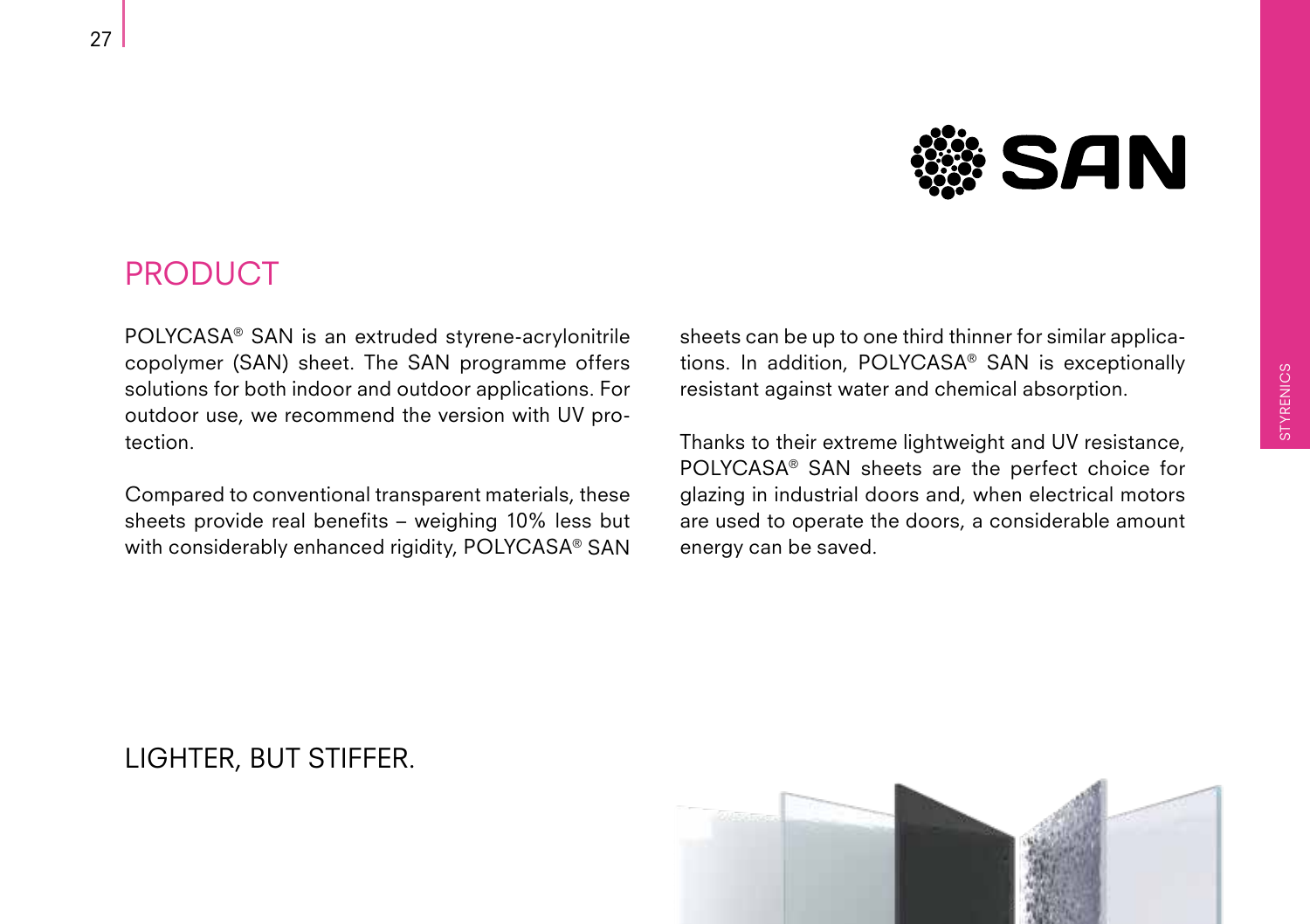

#### PRODUCT

POLYCASA® SAN is an extruded styrene-acrylonitrile copolymer (SAN) sheet. The SAN programme offers solutions for both indoor and outdoor applications. For outdoor use, we recommend the version with UV protection.

Compared to conventional transparent materials, these sheets provide real benefits – weighing 10% less but with considerably enhanced rigidity, POLYCASA® SAN sheets can be up to one third thinner for similar applications. In addition, POLYCASA® SAN is exceptionally resistant against water and chemical absorption.

Thanks to their extreme lightweight and UV resistance, POLYCASA® SAN sheets are the perfect choice for glazing in industrial doors and, when electrical motors are used to operate the doors, a considerable amount energy can be saved.



#### LIGHTER, BUT STIFFER.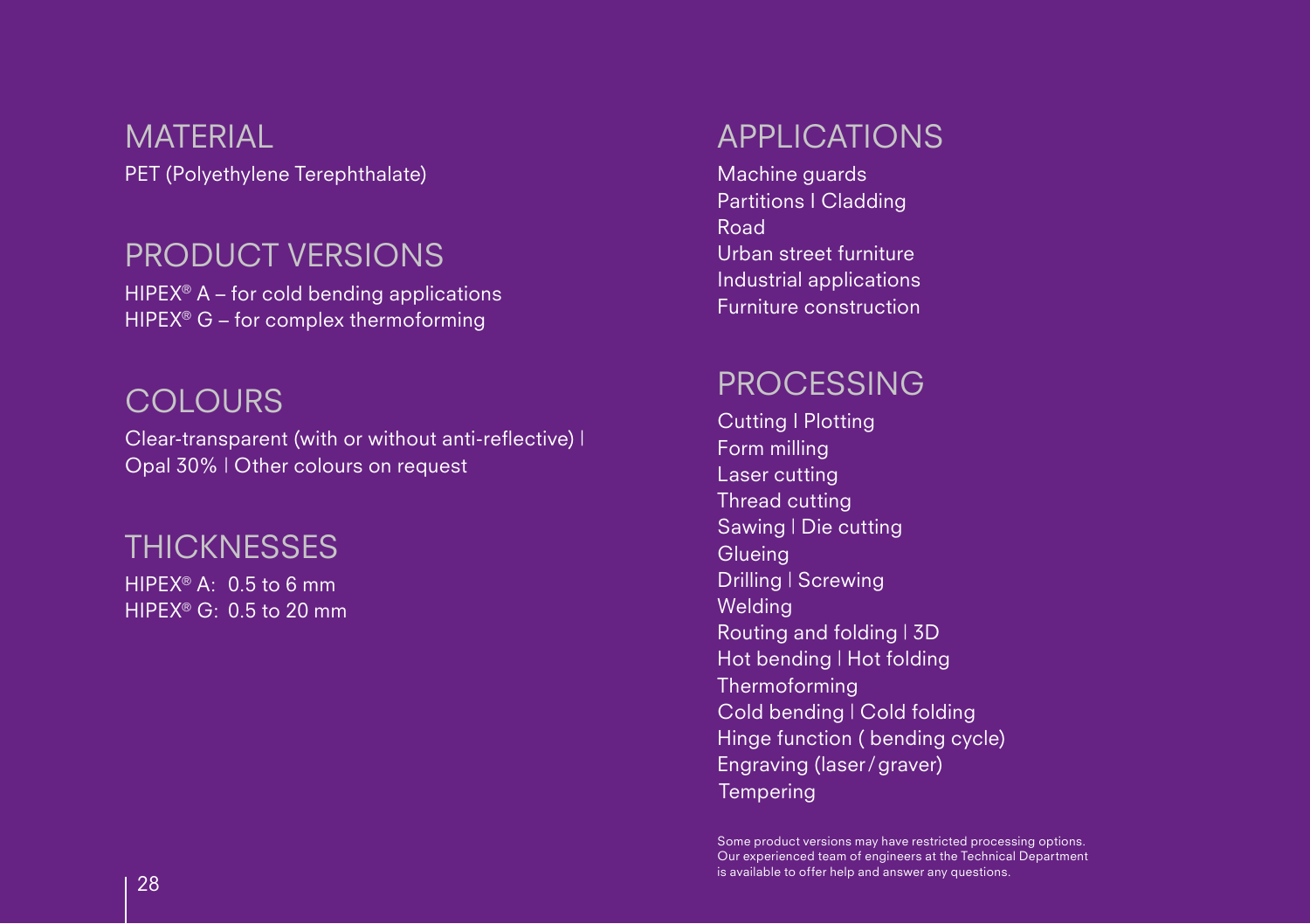PET (Polyethylene Terephthalate) **MATERIAL** 

#### PRODUCT VERSIONS

 $HIPEX^{\circledast}$  A – for cold bending applications HIPEX<sup>®</sup> G – for complex thermoforming

#### **COLOURS**

Clear-transparent (with or without anti-reflective) | Opal 30% | Other colours on request

#### **THICKNESSES**

 $HIPFX^{\circledR}$  A: 0.5 to 6 mm HIPEX® G: 0.5 to 20 mm

#### APPLICATIONS

Machine guards Partitions I Cladding Road Urban street furniture Industrial applications Furniture construction

#### PROCESSING

Cutting I Plotting Form milling Laser cutting Thread cutting Sawing | Die cutting **Glueing** Drilling | Screwing **Welding** Routing and folding | 3D Hot bending | Hot folding Thermoforming Cold bending | Cold folding Hinge function ( bending cycle) Engraving (laser/graver) **Tempering** 

Some product versions may have restricted processing options. Our experienced team of engineers at the Technical Department is available to offer help and answer any questions. <sup>28</sup>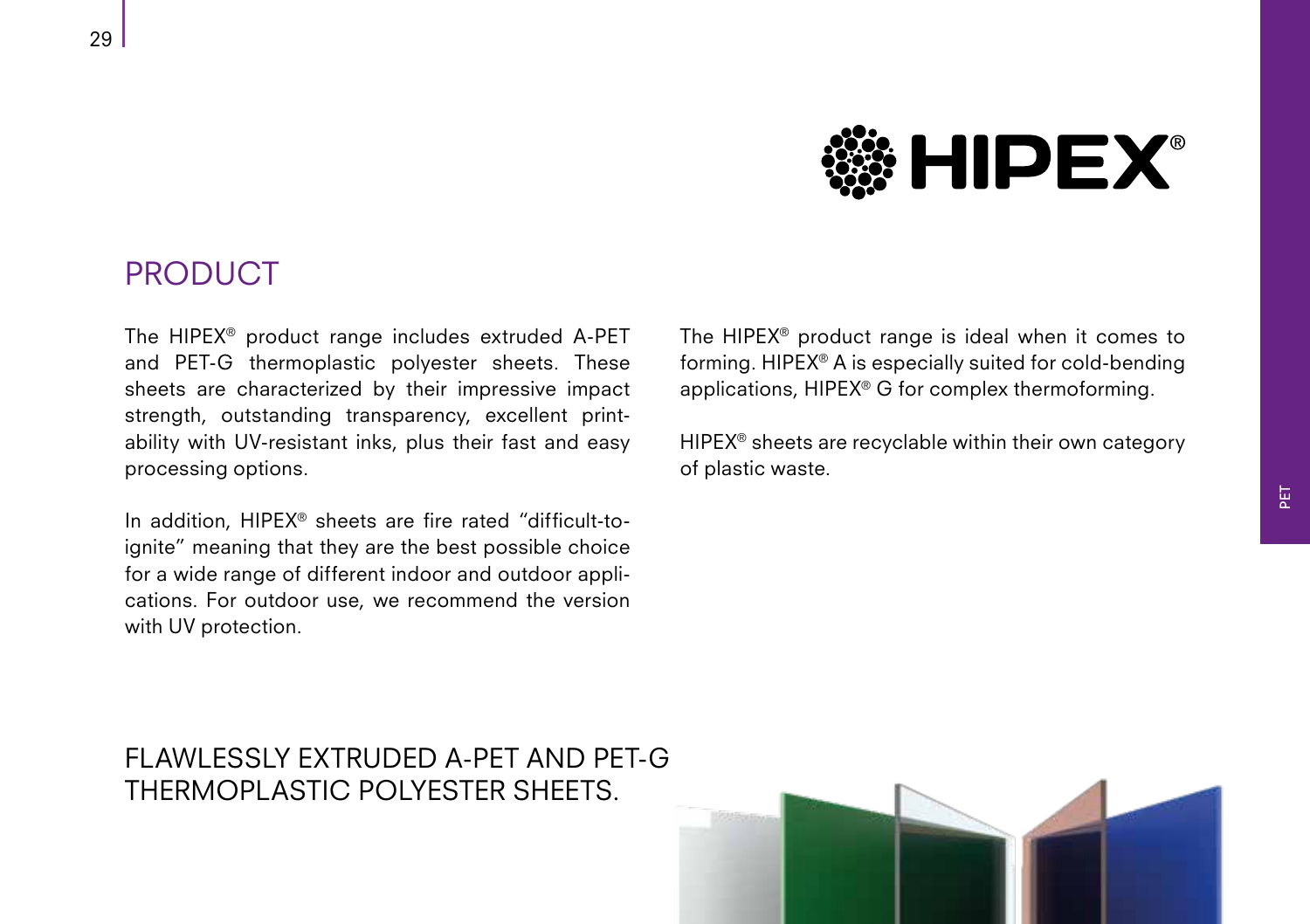

#### PRODUCT

The HIPEX® product range includes extruded A-PET and PET-G thermoplastic polyester sheets. These sheets are characterized by their impressive impact strength, outstanding transparency, excellent printability with UV-resistant inks, plus their fast and easy processing options.

In addition, HIPEX® sheets are fire rated "difficult-toignite" meaning that they are the best possible choice for a wide range of different indoor and outdoor applications. For outdoor use, we recommend the version with UV protection.

The HIPEX® product range is ideal when it comes to forming. HIPEX® A is especially suited for cold-bending applications, HIPEX® G for complex thermoforming.

HIPEX® sheets are recyclable within their own category of plastic waste.

FLAWLESSLY EXTRUDED A-PET AND PET-G THERMOPLASTIC POLYESTER SHEETS.

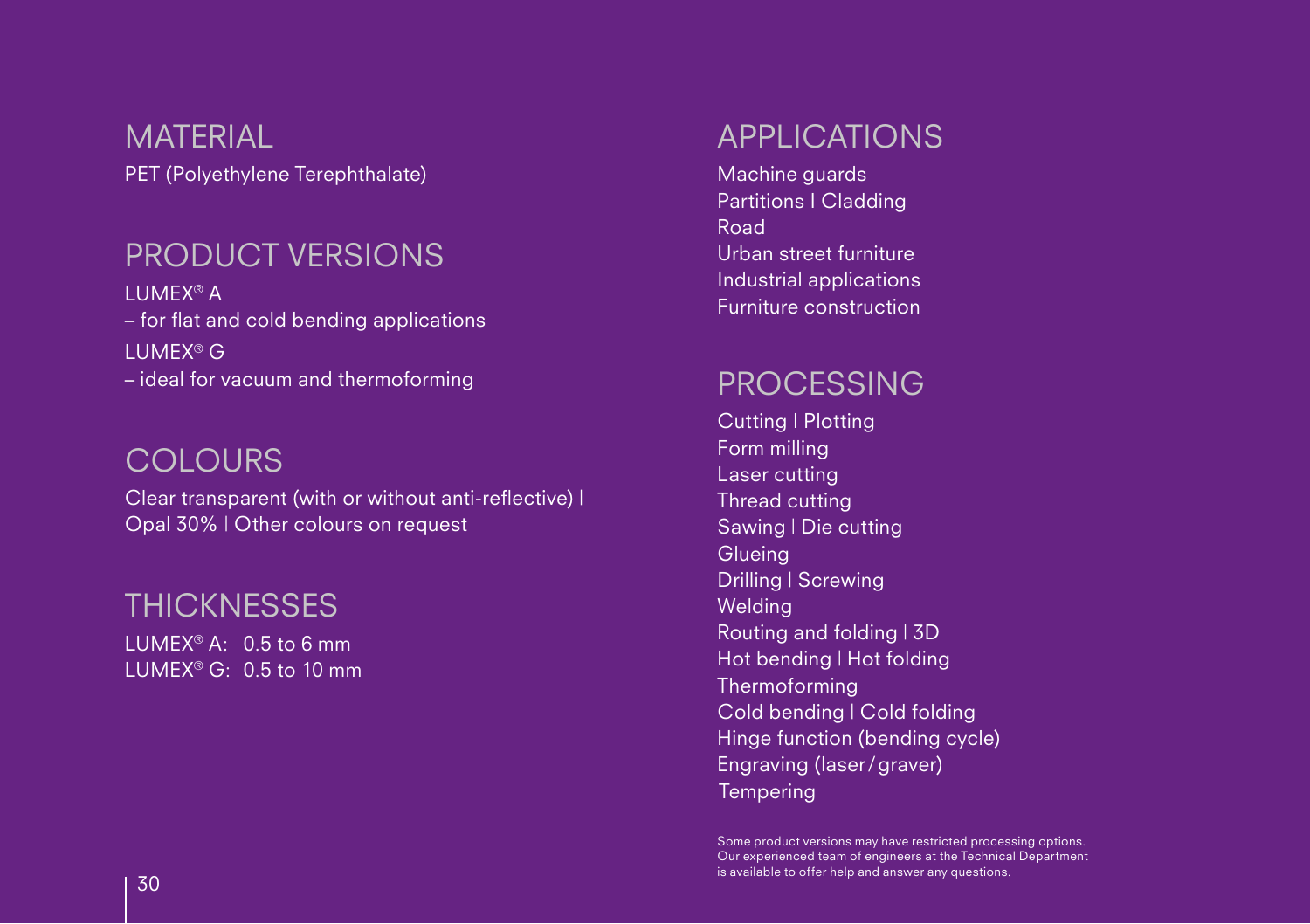PET (Polyethylene Terephthalate) **MATERIAL** 

#### PRODUCT VERSIONS

LUMEX® A – for flat and cold bending applications LUMEX® G – ideal for vacuum and thermoforming

#### **COLOURS**

Clear transparent (with or without anti-reflective) | Opal 30% | Other colours on request

#### **THICKNESSES**

 $LUMFX^{\circledcirc}$  A: 0.5 to 6 mm LUMEX® G: 0.5 to 10 mm

#### APPLICATIONS

Machine guards Partitions I Cladding Road Urban street furniture Industrial applications Furniture construction

#### PROCESSING

Cutting I Plotting Form milling Laser cutting Thread cutting Sawing | Die cutting **Glueing** Drilling | Screwing **Welding** Routing and folding | 3D Hot bending | Hot folding Thermoforming Cold bending | Cold folding Hinge function (bending cycle) Engraving (laser/graver) **Tempering** 

Some product versions may have restricted processing options. Our experienced team of engineers at the Technical Department  $\overline{30}$  is available to offer help and answer any questions.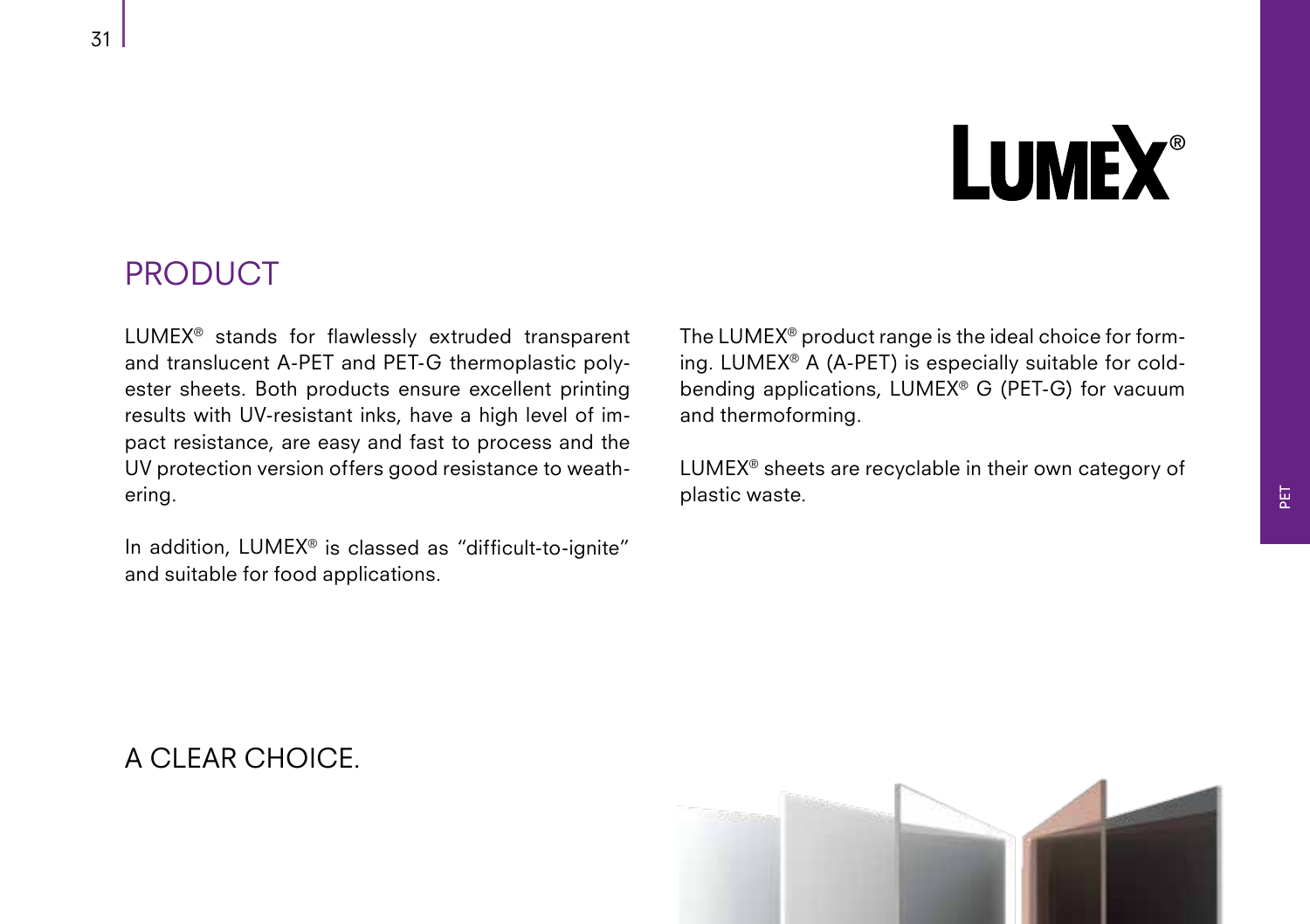# **LUMEX®**

#### PRODUCT

LUMEX® stands for flawlessly extruded transparent and translucent A-PET and PET-G thermoplastic polyester sheets. Both products ensure excellent printing results with UV-resistant inks, have a high level of impact resistance, are easy and fast to process and the UV protection version offers good resistance to weathering.

In addition, LUMEX® is classed as "difficult-to-ignite" and suitable for food applications.

The LUMEX® product range is the ideal choice for forming. LUMEX® A (A-PET) is especially suitable for coldbending applications, LUMEX® G (PET-G) for vacuum and thermoforming.

LUMEX® sheets are recyclable in their own category of plastic waste.



#### A CLEAR CHOICE.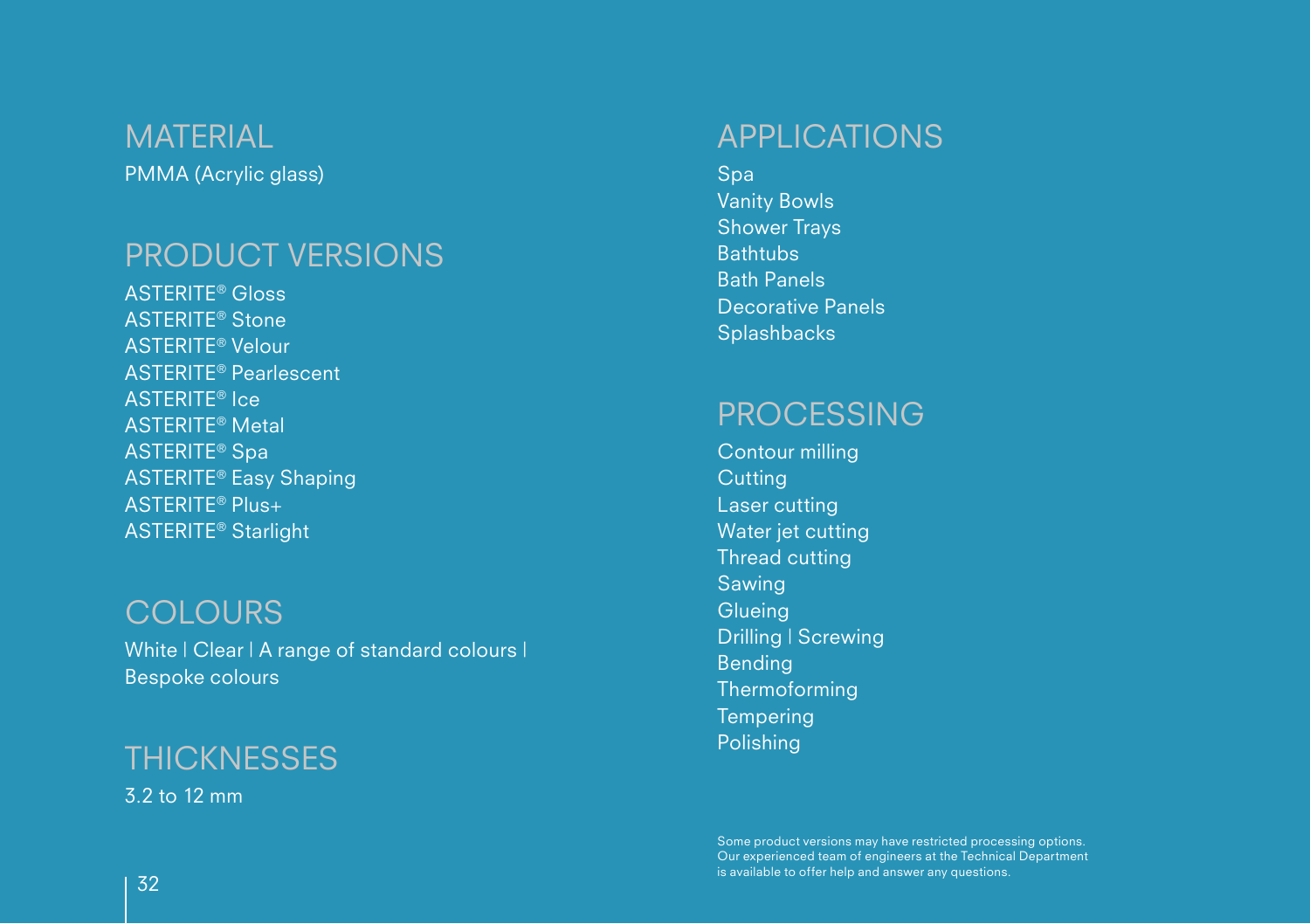PMMA (Acrylic glass) **MATERIAL** 

#### PRODUCT VERSIONS

ASTERITE® Gloss ASTERITE® Stone ASTERITE® Velour ASTERITE® Pearlescent ASTERITE® Ice ASTERITE® Metal ASTERITE® Spa ASTERITE® Easy Shaping ASTERITE® Plus+ ASTERITE® Starlight

#### **COLOURS**

White | Clear | A range of standard colours | Bespoke colours

#### **THICKNESSES**

3.2 to 12 mm

#### APPLICATIONS

Spa Vanity Bowls Shower Trays **Bathtubs** Bath Panels Decorative Panels **Splashbacks** 

#### PROCESSING

Contour milling **Cutting** Laser cutting Water jet cutting Thread cutting Sawing **Glueing** Drilling | Screwing Bending Thermoforming **Tempering** Polishing

Some product versions may have restricted processing options. Our experienced team of engineers at the Technical Department  $\overline{32}$  is available to offer help and answer any questions.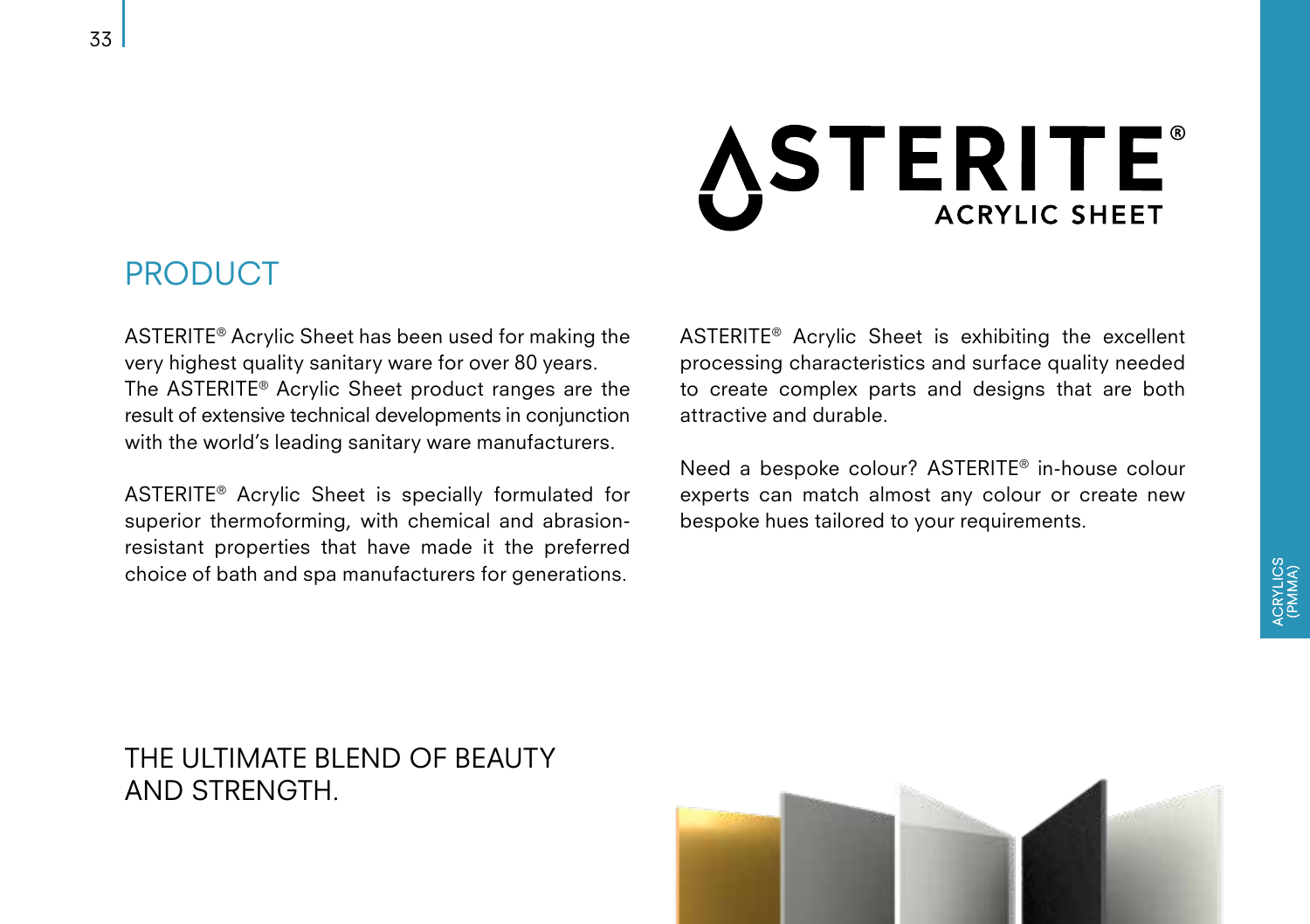### **ASTERITE® ACRYLIC SHEET**

#### PRODUCT

ASTERITE® Acrylic Sheet has been used for making the very highest quality sanitary ware for over 80 years. The ASTERITE® Acrylic Sheet product ranges are the result of extensive technical developments in conjunction with the world's leading sanitary ware manufacturers.

ASTERITE® Acrylic Sheet is specially formulated for superior thermoforming, with chemical and abrasionresistant properties that have made it the preferred choice of bath and spa manufacturers for generations.

ASTERITE® Acrylic Sheet is exhibiting the excellent processing characteristics and surface quality needed to create complex parts and designs that are both attractive and durable.

Need a bespoke colour? ASTERITE® in-house colour experts can match almost any colour or create new bespoke hues tailored to your requirements.

#### THE ULTIMATE BLEND OF BEAUTY AND STRENGTH.

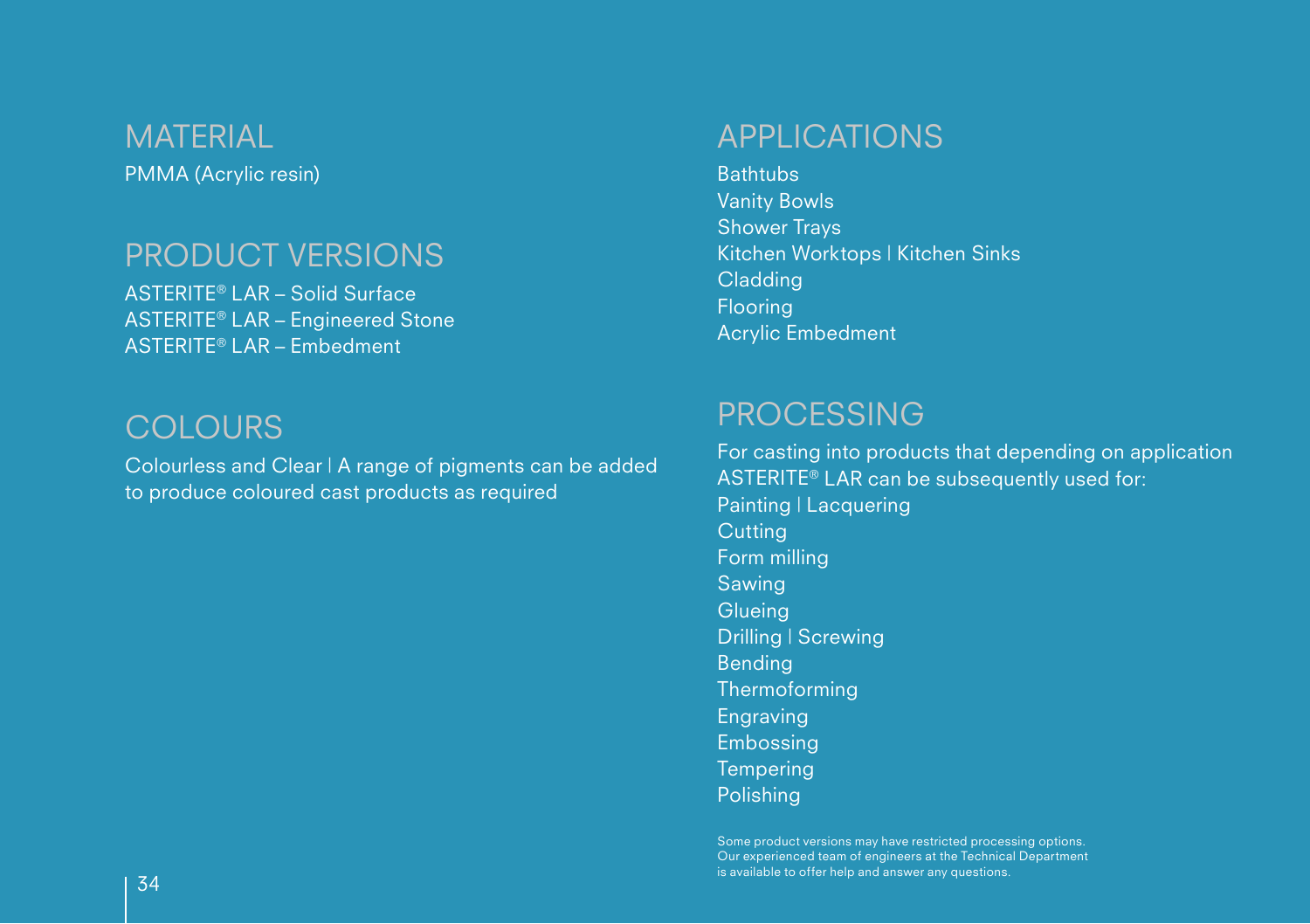PMMA (Acrylic resin) **MATERIAL** 

#### PRODUCT VERSIONS

ASTERITE® LAR – Solid Surface ASTERITE® LAR – Engineered Stone ASTERITE® LAR – Embedment

#### **COLOURS**

Colourless and Clear | A range of pigments can be added to produce coloured cast products as required

#### APPLICATIONS

**Bathtubs** Vanity Bowls Shower Trays Kitchen Worktops | Kitchen Sinks **Cladding** Flooring Acrylic Embedment

#### PROCESSING

Polishing

For casting into products that depending on application ASTERITE® LAR can be subsequently used for: Painting | Lacquering **Cutting** Form milling Sawing **Glueing** Drilling | Screwing Bending Thermoforming Engraving Embossing **Tempering** 

Some product versions may have restricted processing options. Our experienced team of engineers at the Technical Department  $\overline{34}$  is available to offer help and answer any questions.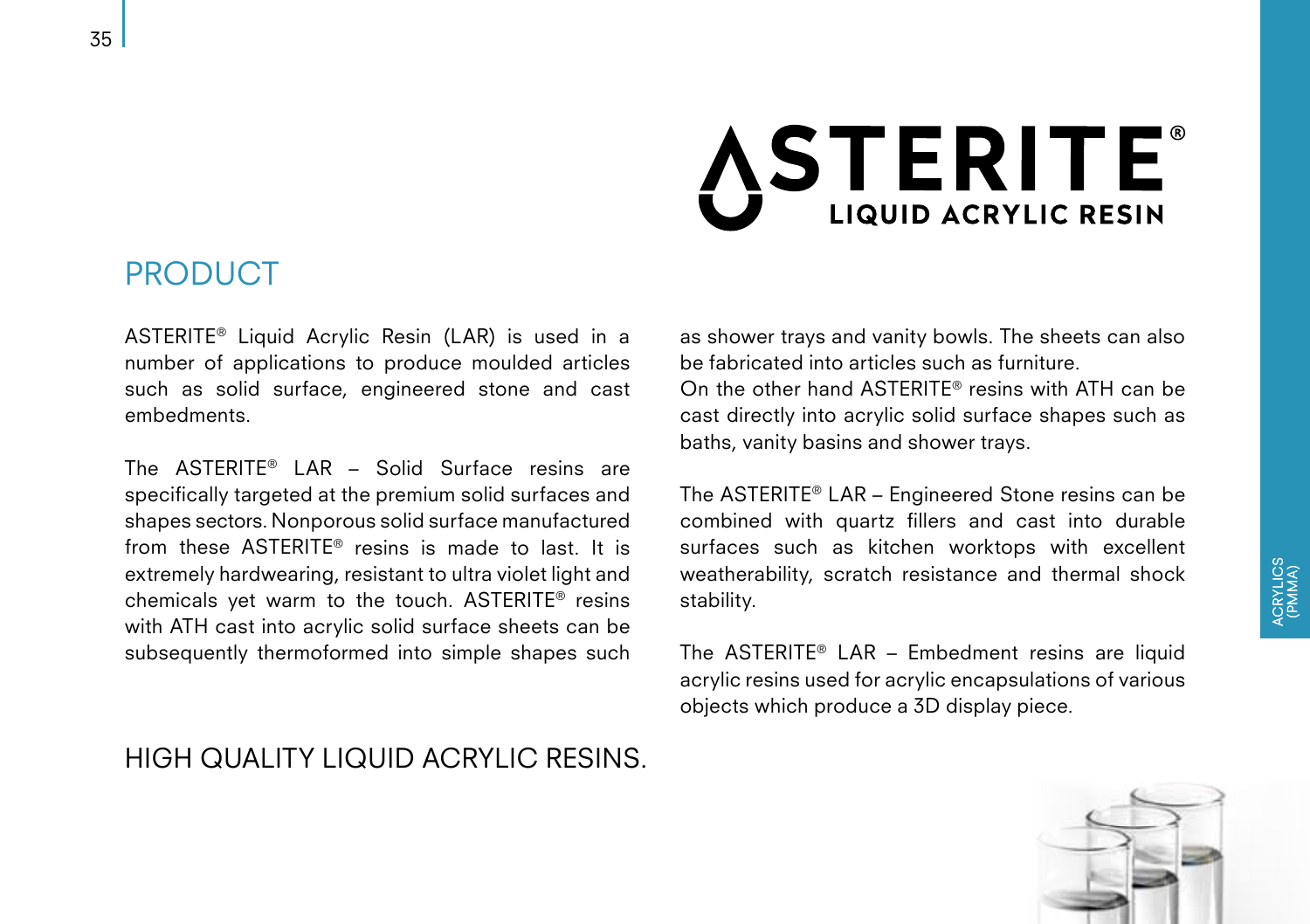### **ASTERITE® LIQUID ACRYLIC RESIN**

#### PRODUCT

ASTERITE® Liquid Acrylic Resin (LAR) is used in a number of applications to produce moulded articles such as solid surface, engineered stone and cast embedments.

The ASTERITE® LAR – Solid Surface resins are specifically targeted at the premium solid surfaces and shapes sectors. Nonporous solid surface manufactured from these ASTERITE® resins is made to last. It is extremely hardwearing, resistant to ultra violet light and chemicals yet warm to the touch. ASTERITE® resins with ATH cast into acrylic solid surface sheets can be subsequently thermoformed into simple shapes such

#### HIGH QUALITY LIQUID ACRYLIC RESINS.

as shower trays and vanity bowls. The sheets can also be fabricated into articles such as furniture. On the other hand ASTERITE® resins with ATH can be cast directly into acrylic solid surface shapes such as baths, vanity basins and shower trays.

The ASTERITE® LAR – Engineered Stone resins can be combined with quartz fillers and cast into durable surfaces such as kitchen worktops with excellent weatherability, scratch resistance and thermal shock stability.

The ASTERITE® LAR – Embedment resins are liquid acrylic resins used for acrylic encapsulations of various objects which produce a 3D display piece.

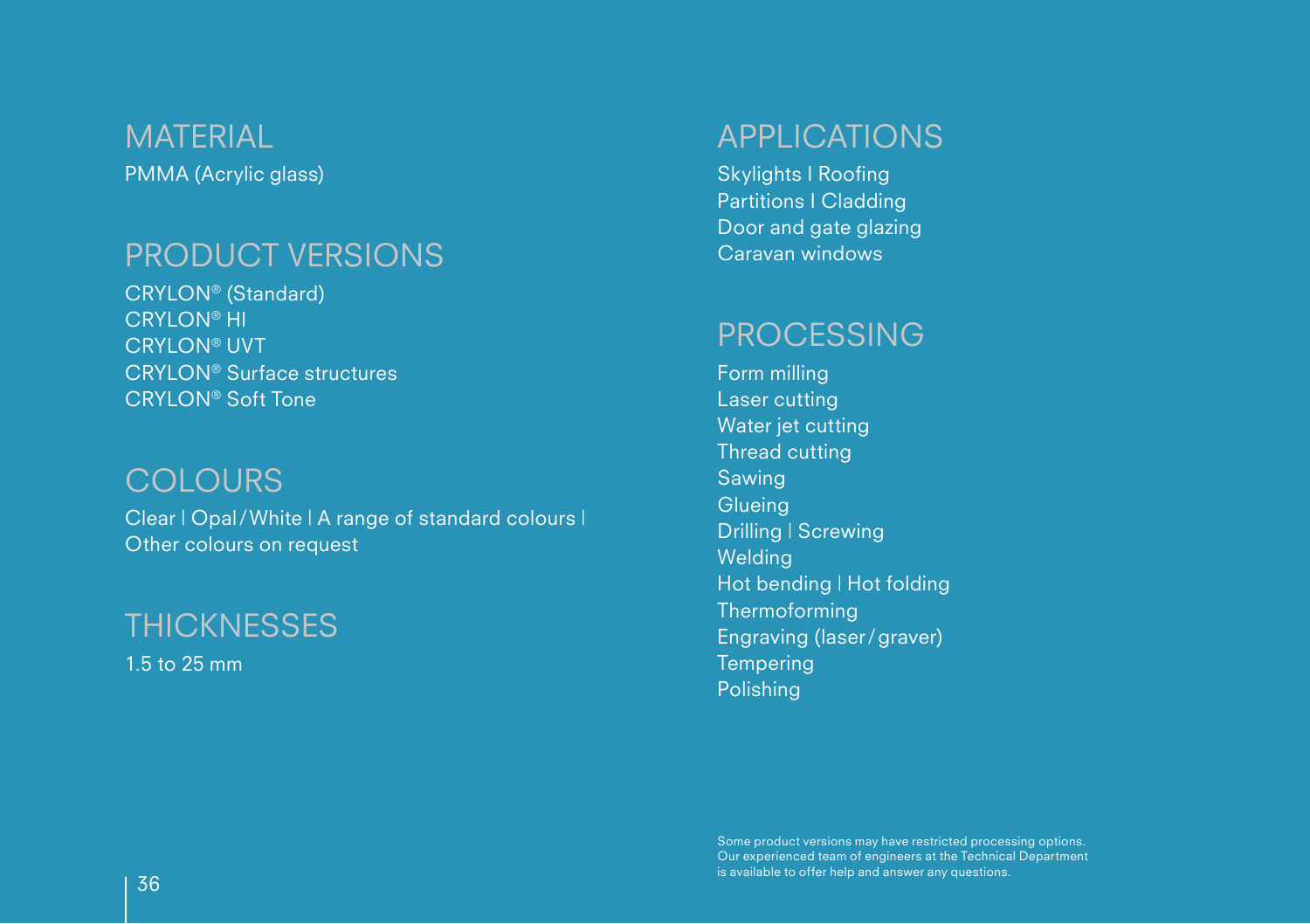PMMA (Acrylic glass) **MATERIAL** 

#### PRODUCT VERSIONS

CRYLON® (Standard) CRYLON® HI CRYLON® UVT CRYLON® Surface structures CRYLON® Soft Tone

#### **COLOURS**

Clear | Opal/White | A range of standard colours | Other colours on request

1.5 to 25 mm **THICKNESSES** 

#### APPLICATIONS

Skylights I Roofing Partitions I Cladding Door and gate glazing Caravan windows

#### PROCESSING

Form milling Laser cutting Water jet cutting Thread cutting Sawing **Glueing** Drilling | Screwing Welding Hot bending | Hot folding Thermoforming Engraving (laser/graver) **Tempering** Polishing

Some product versions may have restricted processing options. Our experienced team of engineers at the Technical Department  $\overline{36}$  is available to offer help and answer any questions.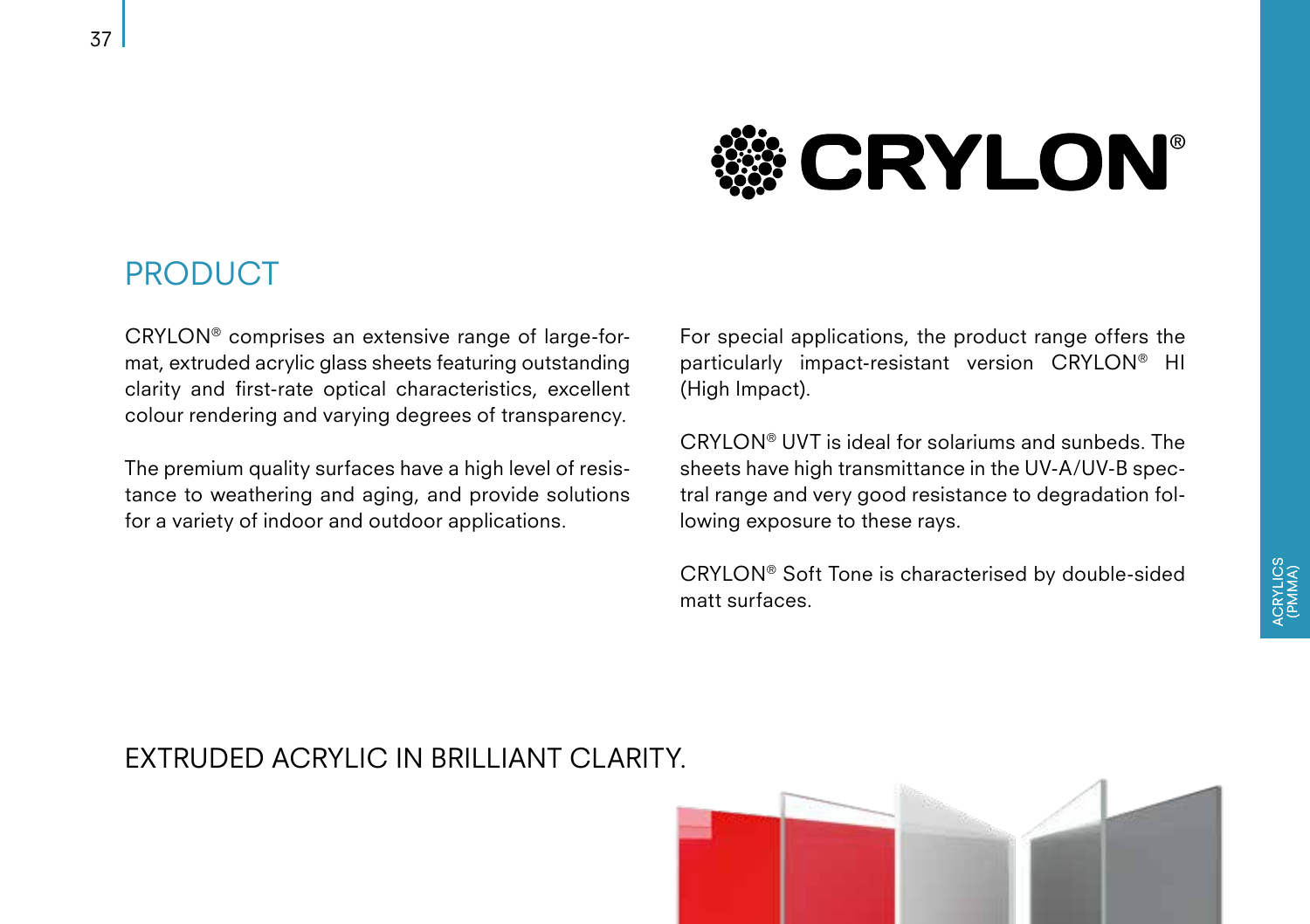### **CRYLON®**

#### PRODUCT

CRYLON® comprises an extensive range of large-format, extruded acrylic glass sheets featuring outstanding clarity and first-rate optical characteristics, excellent colour rendering and varying degrees of transparency.

The premium quality surfaces have a high level of resistance to weathering and aging, and provide solutions for a variety of indoor and outdoor applications.

For special applications, the product range offers the particularly impact-resistant version CRYLON® HI (High Impact).

CRYLON® UVT is ideal for solariums and sunbeds. The sheets have high transmittance in the UV-A/UV-B spectral range and very good resistance to degradation following exposure to these rays.

CRYLON® Soft Tone is characterised by double-sided matt surfaces.

#### EXTRUDED ACRYLIC IN BRILLIANT CLARITY.

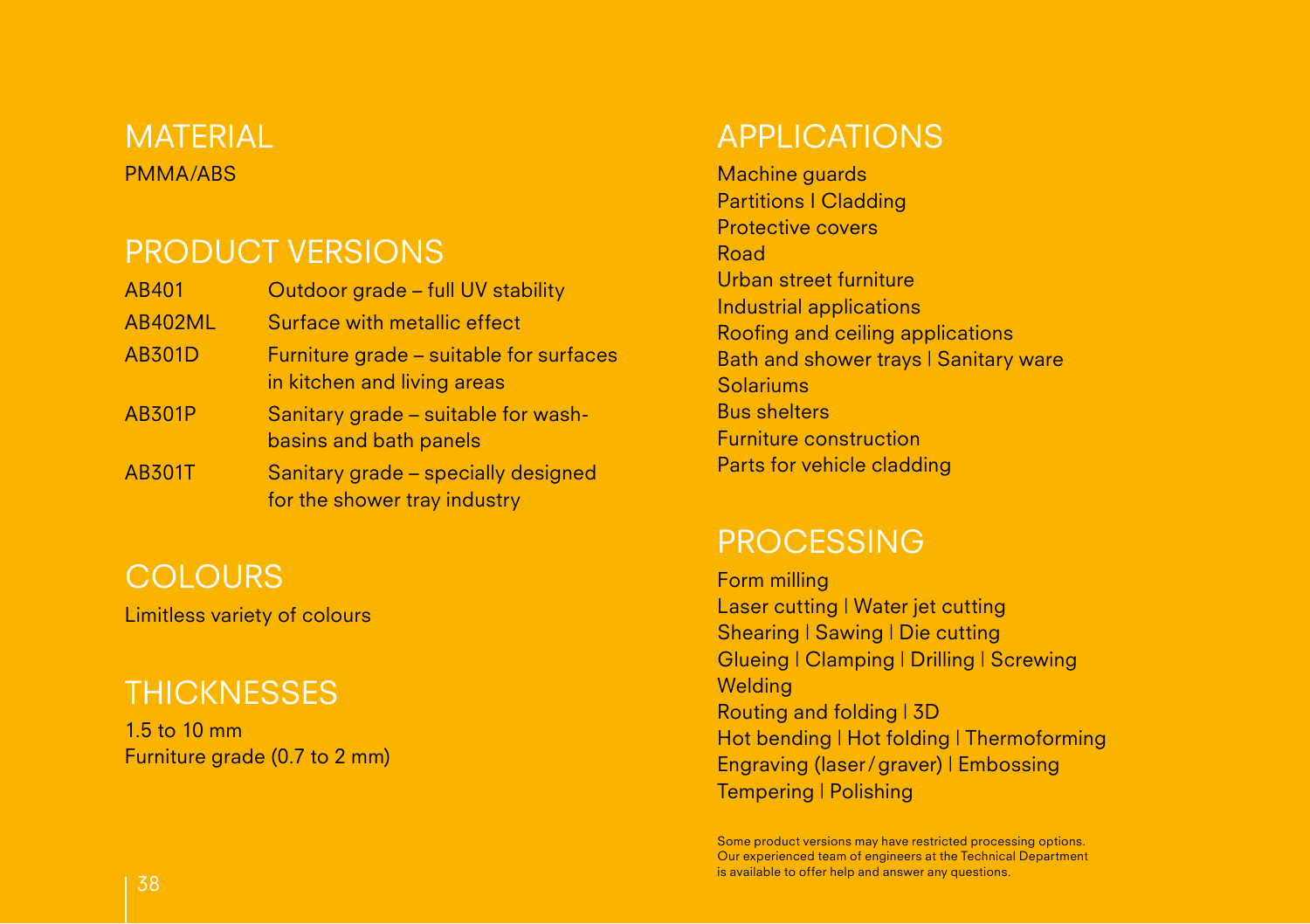#### PMMA/ABS MATERIAL

#### PRODUCT VERSIONS

| AB401          | Outdoor grade - full UV stability                                      |
|----------------|------------------------------------------------------------------------|
| <b>AB402ML</b> | Surface with metallic effect                                           |
| <b>AB301D</b>  | Furniture grade - suitable for surfaces<br>in kitchen and living areas |
| <b>AB301P</b>  | Sanitary grade - suitable for wash-<br>basins and bath panels          |
| <b>AB301T</b>  | Sanitary grade – specially designed<br>for the shower tray industry    |

#### **COLOURS**

Limitless variety of colours

#### **THICKNESSES**

1.5 to 10 mm Furniture grade (0.7 to 2 mm)

#### APPLICATIONS

Machine guards Partitions I Cladding Protective covers Road Urban street furniture Industrial applications Roofing and ceiling applications Bath and shower trays | Sanitary ware Solariums Bus shelters Furniture construction Parts for vehicle cladding

#### PROCESSING

Form milling Laser cutting | Water jet cutting Shearing | Sawing | Die cutting Glueing | Clamping | Drilling | Screwing **Welding** Routing and folding | 3D Hot bending | Hot folding | Thermoforming Engraving (laser/graver) | Embossing Tempering | Polishing

Some product versions may have restricted processing options. Our experienced team of engineers at the Technical Department is available to offer help and answer any questions. <sup>38</sup>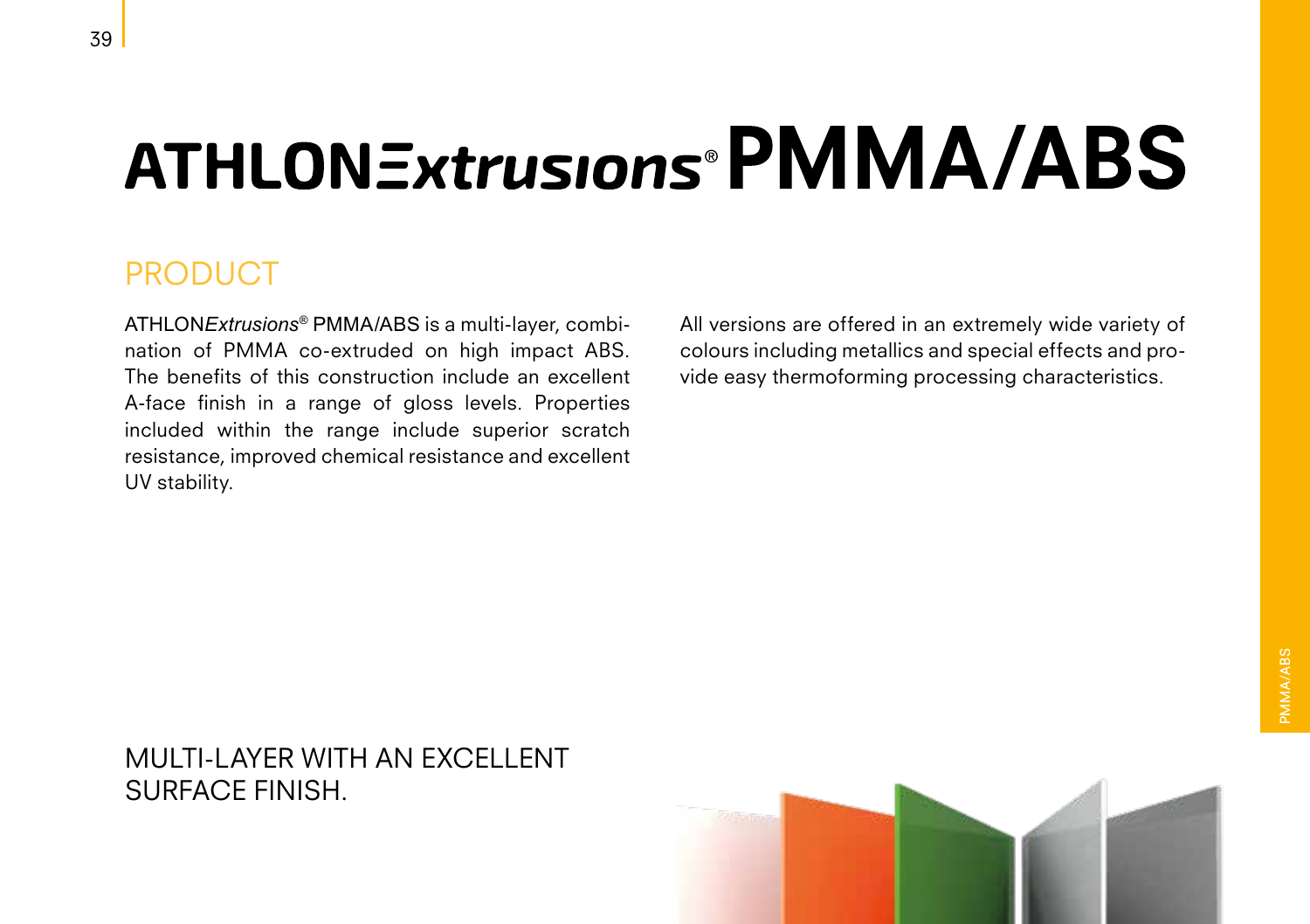## **ATHLONExtrusions<sup>®</sup>PMMA/ABS**

#### PRODUCT

ATHLON*Extrusions*® PMMA/ABS is a multi-layer, combination of PMMA co-extruded on high impact ABS. The benefits of this construction include an excellent A-face finish in a range of gloss levels. Properties included within the range include superior scratch resistance, improved chemical resistance and excellent UV stability.

All versions are offered in an extremely wide variety of colours including metallics and special effects and provide easy thermoforming processing characteristics.

#### MULTI-LAYER WITH AN EXCELLENT SURFACE FINISH.

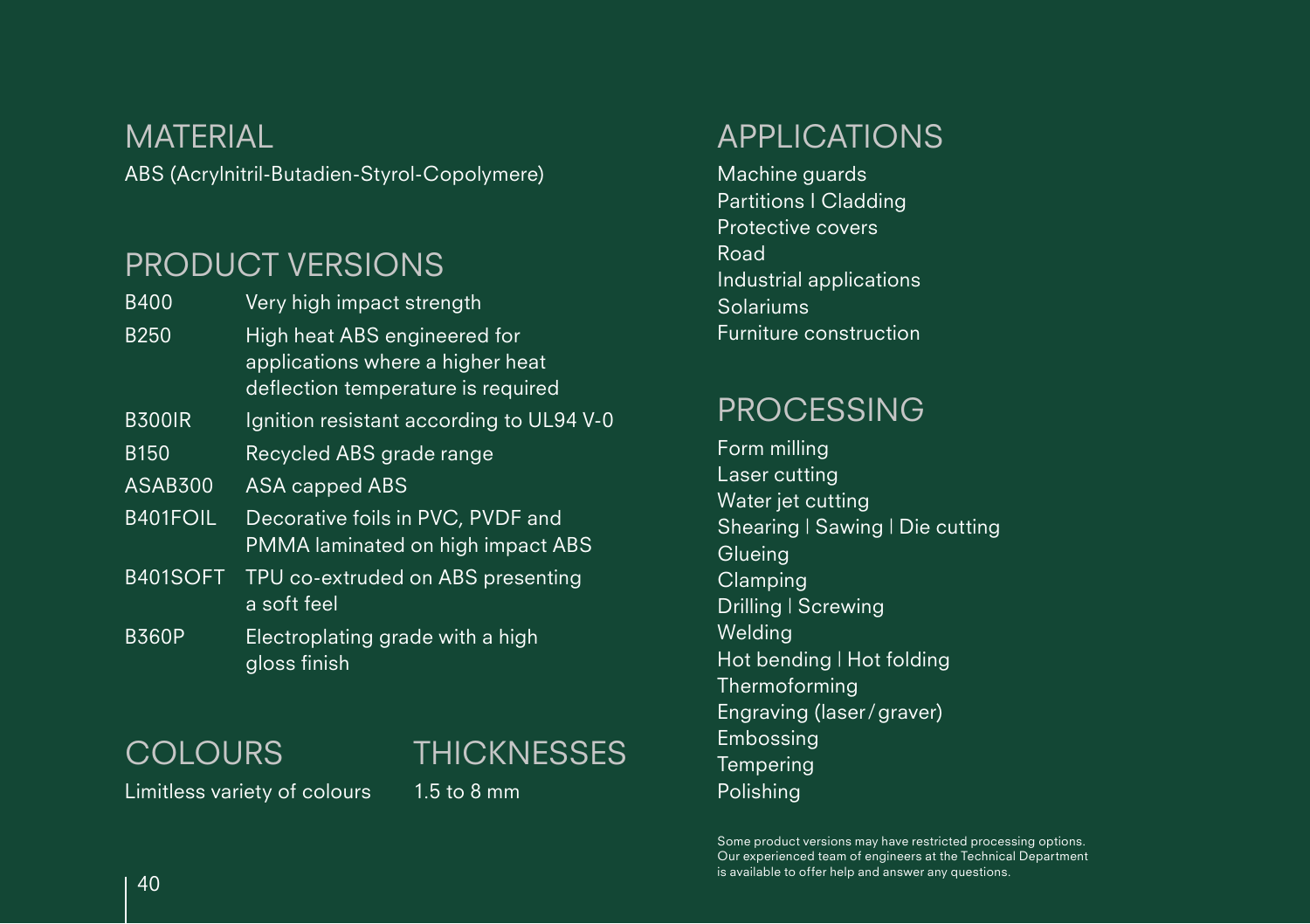ABS (Acrylnitril-Butadien-Styrol-Copolymere) MATERIAL

#### PRODUCT VERSIONS

| <b>B400</b>    | Very high impact strength                                                                              |
|----------------|--------------------------------------------------------------------------------------------------------|
| <b>B250</b>    | High heat ABS engineered for<br>applications where a higher heat<br>deflection temperature is required |
| <b>B300IR</b>  | Ignition resistant according to UL94 V-0                                                               |
| <b>B150</b>    | Recycled ABS grade range                                                                               |
| <b>ASAB300</b> | ASA capped ABS                                                                                         |
| B401FOIL       | Decorative foils in PVC, PVDF and<br>PMMA laminated on high impact ABS                                 |
| B401SOFT       | TPU co-extruded on ABS presenting<br>a soft feel                                                       |
| <b>B360P</b>   | Electroplating grade with a high<br>gloss finish                                                       |

**COLOURS** 

#### **THICKNESSES**

Limitless variety of colours

1.5 to 8 mm

#### APPLICATIONS

Machine guards Partitions I Cladding Protective covers Road Industrial applications Solariums Furniture construction

#### PROCESSING

Form milling Laser cutting Water jet cutting Shearing | Sawing | Die cutting **Glueing** Clamping Drilling | Screwing **Welding** Hot bending | Hot folding Thermoforming Engraving (laser/graver) Embossing **Tempering** Polishing

Some product versions may have restricted processing options. Our experienced team of engineers at the Technical Department is available to offer help and answer any questions.  $\overline{40}$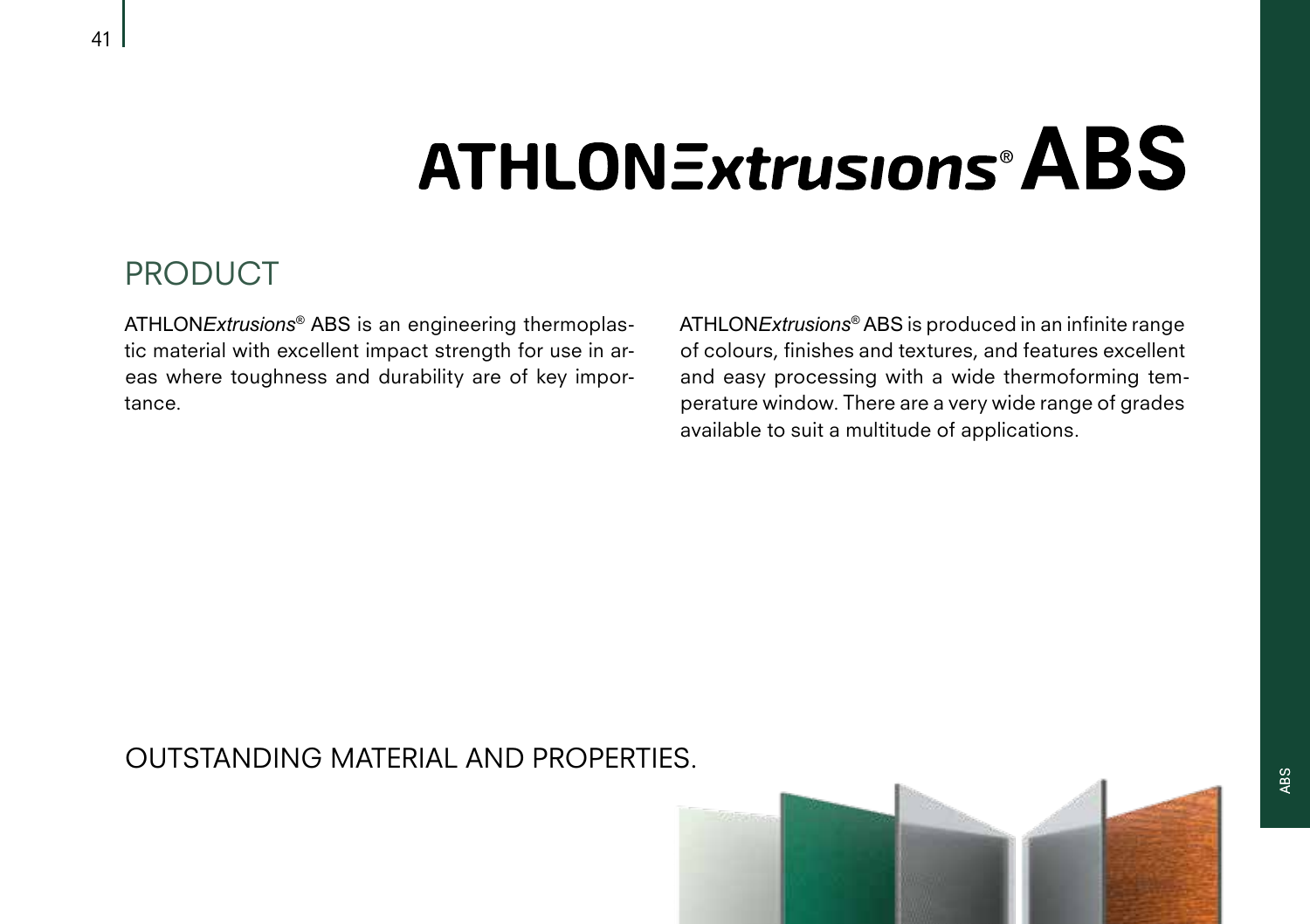### **ATHLONExtrusions<sup>®</sup>ABS**

#### PRODUCT

ATHLON*Extrusions*® ABS is an engineering thermoplastic material with excellent impact strength for use in areas where toughness and durability are of key importance.

ATHLON*Extrusions*® ABS is produced in an infinite range of colours, finishes and textures, and features excellent and easy processing with a wide thermoforming temperature window. There are a very wide range of grades available to suit a multitude of applications.

#### OUTSTANDING MATERIAL AND PROPERTIES.

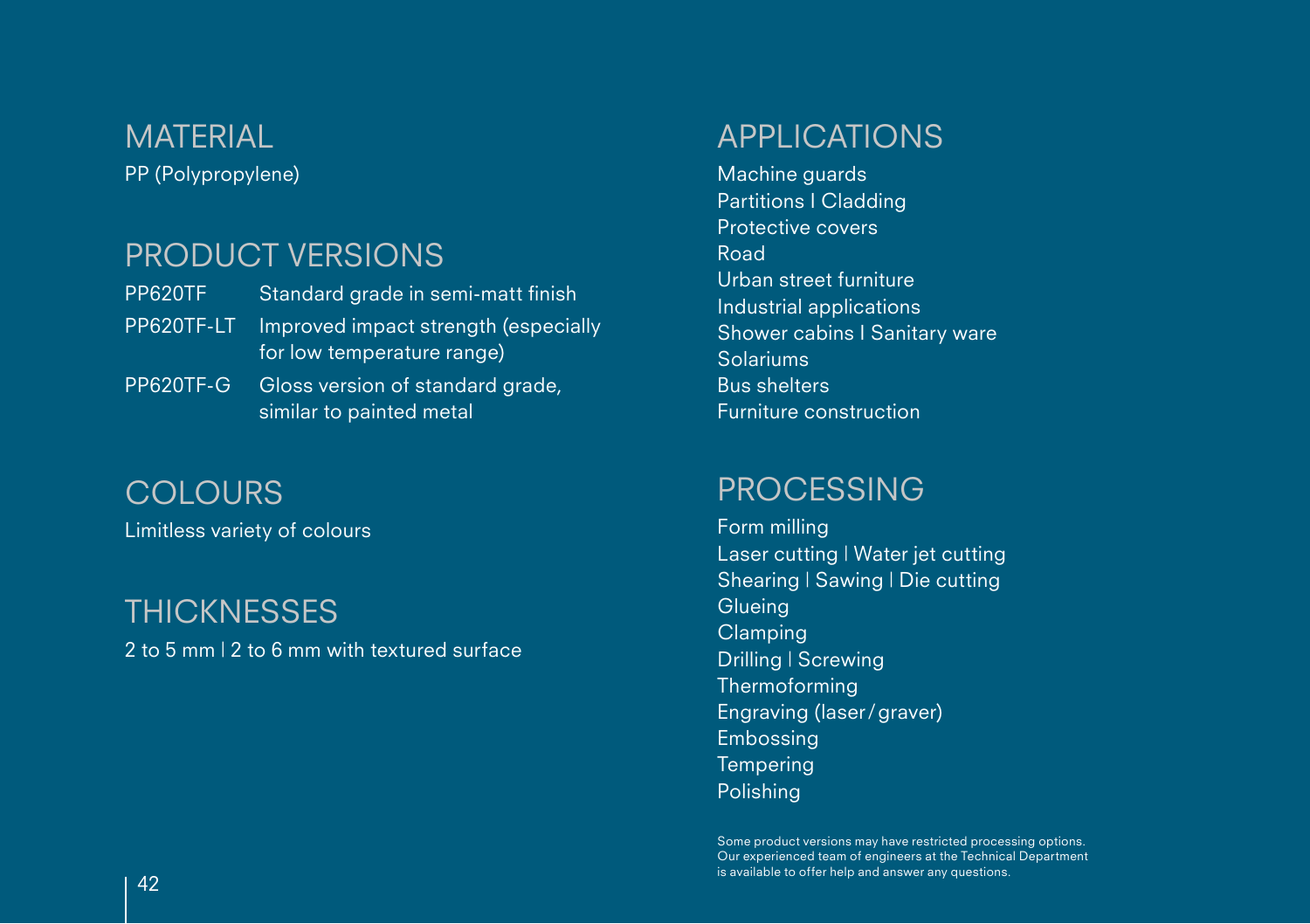#### PP (Polypropylene) **MATERIAL**

#### PRODUCT VERSIONS

| PP620TF    | Standard grade in semi-matt finish                                 |
|------------|--------------------------------------------------------------------|
| PP620TF-LT | Improved impact strength (especially<br>for low temperature range) |
| PP620TF-G  | Gloss version of standard grade,                                   |

similar to painted metal

Limitless variety of colours **COLOURS** 

#### **THICKNESSES**

2 to 5 mm | 2 to 6 mm with textured surface

#### APPLICATIONS

Machine guards Partitions I Cladding Protective covers Road Urban street furniture Industrial applications Shower cabins I Sanitary ware Solariums Bus shelters Furniture construction

#### PROCESSING

Form milling Laser cutting | Water jet cutting Shearing | Sawing | Die cutting **Glueing** Clamping Drilling | Screwing Thermoforming Engraving (laser/graver) Embossing **Tempering** Polishing

Some product versions may have restricted processing options. Our experienced team of engineers at the Technical Department is available to offer help and answer any questions.  $\mathcal{A}2$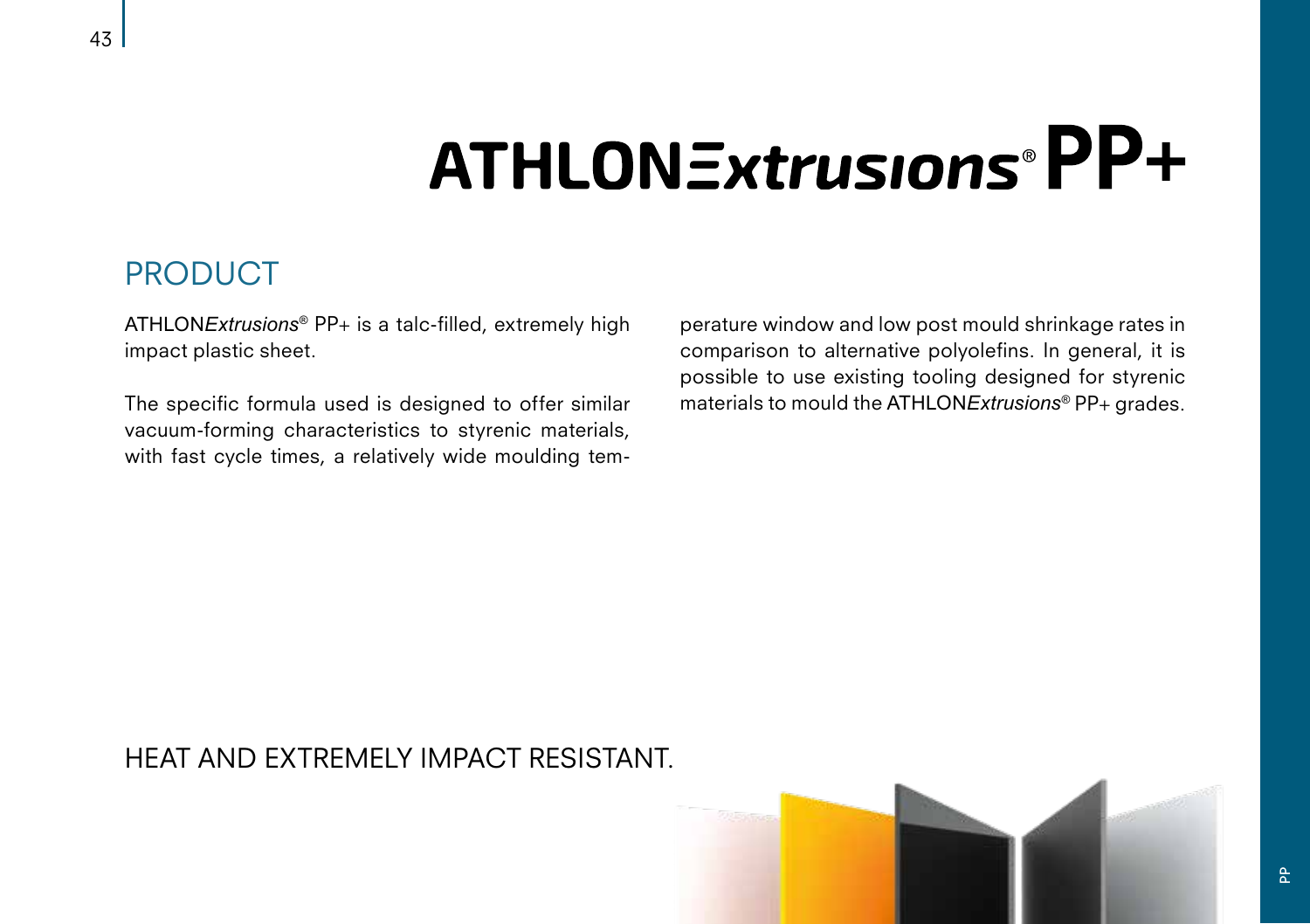## ATHLONExtrusions®PP+

#### PRODUCT

ATHLON*Extrusions*® PP+ is a talc-filled, extremely high impact plastic sheet.

The specific formula used is designed to offer similar vacuum-forming characteristics to styrenic materials, with fast cycle times, a relatively wide moulding temperature window and low post mould shrinkage rates in comparison to alternative polyolefins. In general, it is possible to use existing tooling designed for styrenic materials to mould the ATHLON*Extrusions*® PP+ grades.

#### HEAT AND EXTREMELY IMPACT RESISTANT.



 $P_{\rm p}$